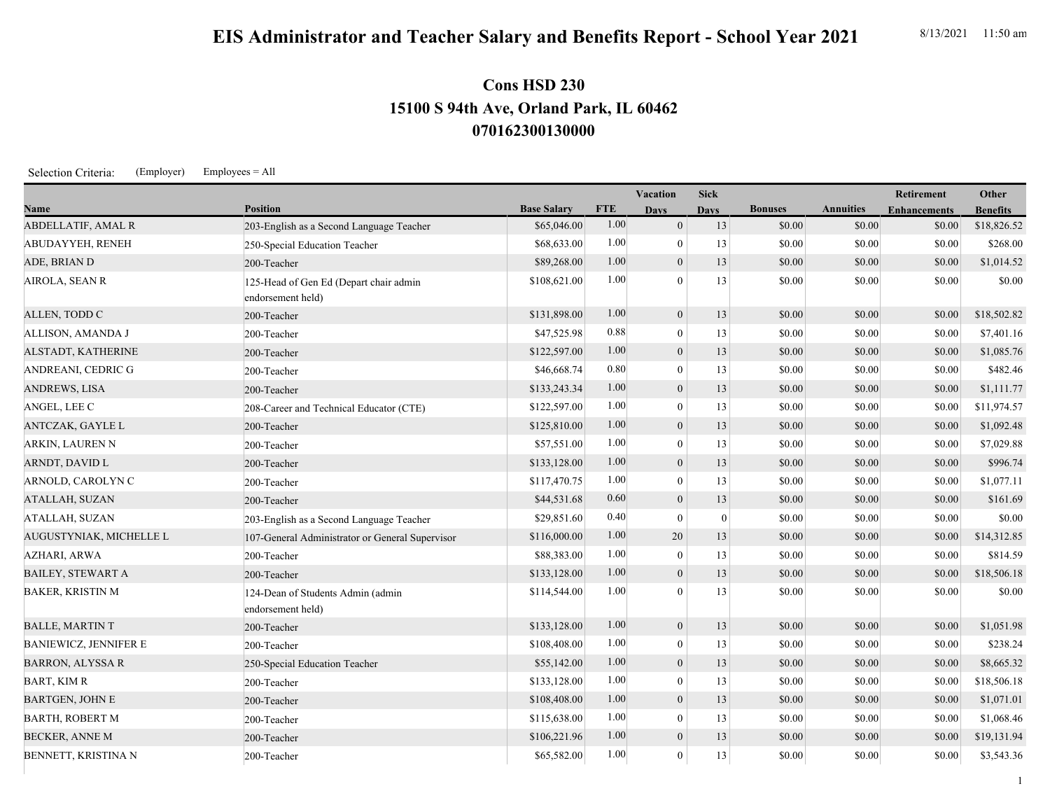## **EIS Administrator and Teacher Salary and Benefits Report - School Year 2021** 8/13/2021 11:50 am

## **070162300130000 15100 S 94th Ave, Orland Park, IL 60462 Cons HSD 230**

Selection Criteria: (Employer) Employees = All

|                              |                                                             |                    |            | <b>Vacation</b>  | <b>Sick</b> |                |                  | <b>Retirement</b>   | Other           |
|------------------------------|-------------------------------------------------------------|--------------------|------------|------------------|-------------|----------------|------------------|---------------------|-----------------|
| Name                         | <b>Position</b>                                             | <b>Base Salary</b> | <b>FTE</b> | <b>Days</b>      | <b>Days</b> | <b>Bonuses</b> | <b>Annuities</b> | <b>Enhancements</b> | <b>Benefits</b> |
| <b>ABDELLATIF, AMAL R</b>    | 203-English as a Second Language Teacher                    | \$65,046.00        | 1.00       | $\mathbf{0}$     | 13          | \$0.00         | \$0.00           | \$0.00              | \$18,826.52     |
| ABUDAYYEH, RENEH             | 250-Special Education Teacher                               | \$68,633.00        | 1.00       | $\mathbf{0}$     | 13          | \$0.00         | \$0.00           | \$0.00              | \$268.00        |
| ADE, BRIAN D                 | 200-Teacher                                                 | \$89,268.00        | 1.00       | $\overline{0}$   | 13          | \$0.00         | \$0.00           | \$0.00              | \$1,014.52      |
| AIROLA, SEAN R               | 125-Head of Gen Ed (Depart chair admin<br>endorsement held) | \$108,621.00       | 1.00       | $\Omega$         | 13          | \$0.00         | \$0.00           | \$0.00              | \$0.00          |
| ALLEN, TODD C                | 200-Teacher                                                 | \$131,898.00       | 1.00       | $\boldsymbol{0}$ | 13          | \$0.00         | \$0.00           | \$0.00              | \$18,502.82     |
| ALLISON, AMANDA J            | 200-Teacher                                                 | \$47,525.98        | 0.88       | $\boldsymbol{0}$ | 13          | \$0.00         | \$0.00           | \$0.00              | \$7,401.16      |
| ALSTADT, KATHERINE           | 200-Teacher                                                 | \$122,597.00       | 1.00       | $\boldsymbol{0}$ | 13          | \$0.00         | \$0.00           | \$0.00              | \$1,085.76      |
| ANDREANI, CEDRIC G           | 200-Teacher                                                 | \$46,668.74        | 0.80       | $\mathbf{0}$     | 13          | \$0.00         | \$0.00           | \$0.00              | \$482.46        |
| <b>ANDREWS, LISA</b>         | 200-Teacher                                                 | \$133,243.34       | 1.00       | $\overline{0}$   | 13          | \$0.00         | \$0.00           | \$0.00              | \$1,111.77      |
| ANGEL, LEE C                 | 208-Career and Technical Educator (CTE)                     | \$122,597.00       | 1.00       | $\boldsymbol{0}$ | 13          | \$0.00         | \$0.00           | \$0.00              | \$11,974.57     |
| ANTCZAK, GAYLE L             | 200-Teacher                                                 | \$125,810.00       | 1.00       | $\boldsymbol{0}$ | 13          | \$0.00         | \$0.00           | \$0.00              | \$1,092.48      |
| ARKIN, LAUREN N              | 200-Teacher                                                 | \$57,551.00        | 1.00       | $\mathbf{0}$     | 13          | \$0.00         | \$0.00           | \$0.00              | \$7,029.88      |
| ARNDT, DAVID L               | 200-Teacher                                                 | \$133,128.00       | 1.00       | $\mathbf{0}$     | 13          | \$0.00         | \$0.00           | \$0.00              | \$996.74        |
| ARNOLD, CAROLYN C            | 200-Teacher                                                 | \$117,470.75       | 1.00       | $\mathbf{0}$     | 13          | \$0.00         | \$0.00           | \$0.00              | \$1,077.11      |
| <b>ATALLAH, SUZAN</b>        | 200-Teacher                                                 | \$44,531.68        | 0.60       | $\mathbf{0}$     | 13          | \$0.00         | \$0.00           | \$0.00              | \$161.69        |
| ATALLAH, SUZAN               | 203-English as a Second Language Teacher                    | \$29,851.60        | 0.40       | $\mathbf{0}$     | $\theta$    | \$0.00         | \$0.00           | \$0.00              | \$0.00          |
| AUGUSTYNIAK, MICHELLE L      | 107-General Administrator or General Supervisor             | \$116,000.00       | 1.00       | 20               | 13          | \$0.00         | \$0.00           | \$0.00              | \$14,312.85     |
| <b>AZHARI, ARWA</b>          | 200-Teacher                                                 | \$88,383.00        | 1.00       | $\boldsymbol{0}$ | 13          | \$0.00         | \$0.00           | \$0.00              | \$814.59        |
| <b>BAILEY, STEWART A</b>     | 200-Teacher                                                 | \$133,128.00       | 1.00       | $\mathbf{0}$     | 13          | \$0.00         | \$0.00           | \$0.00              | \$18,506.18     |
| <b>BAKER, KRISTIN M</b>      | 124-Dean of Students Admin (admin<br>endorsement held)      | \$114,544.00       | 1.00       | $\theta$         | 13          | \$0.00         | \$0.00           | \$0.00              | \$0.00          |
| <b>BALLE, MARTIN T</b>       | 200-Teacher                                                 | \$133,128.00       | 1.00       | $\boldsymbol{0}$ | 13          | \$0.00         | \$0.00           | \$0.00              | \$1,051.98      |
| <b>BANIEWICZ, JENNIFER E</b> | 200-Teacher                                                 | \$108,408.00       | 1.00       | $\mathbf{0}$     | 13          | \$0.00         | \$0.00           | \$0.00              | \$238.24        |
| <b>BARRON, ALYSSA R</b>      | 250-Special Education Teacher                               | \$55,142.00        | 1.00       | $\overline{0}$   | 13          | \$0.00         | \$0.00           | \$0.00              | \$8,665.32      |
| <b>BART, KIM R</b>           | 200-Teacher                                                 | \$133,128.00       | 1.00       | $\boldsymbol{0}$ | 13          | \$0.00         | \$0.00           | \$0.00              | \$18,506.18     |
| <b>BARTGEN, JOHN E</b>       | 200-Teacher                                                 | \$108,408.00       | 1.00       | $\mathbf{0}$     | 13          | \$0.00         | \$0.00           | \$0.00              | \$1,071.01      |
| <b>BARTH, ROBERT M</b>       | 200-Teacher                                                 | \$115,638.00       | 1.00       | $\boldsymbol{0}$ | 13          | \$0.00         | \$0.00           | \$0.00              | \$1,068.46      |
| <b>BECKER, ANNE M</b>        | 200-Teacher                                                 | \$106,221.96       | 1.00       | $\boldsymbol{0}$ | 13          | \$0.00         | \$0.00           | \$0.00              | \$19,131.94     |
| BENNETT, KRISTINA N          | 200-Teacher                                                 | \$65,582.00        | 1.00       | $\boldsymbol{0}$ | 13          | \$0.00         | \$0.00           | \$0.00              | \$3,543.36      |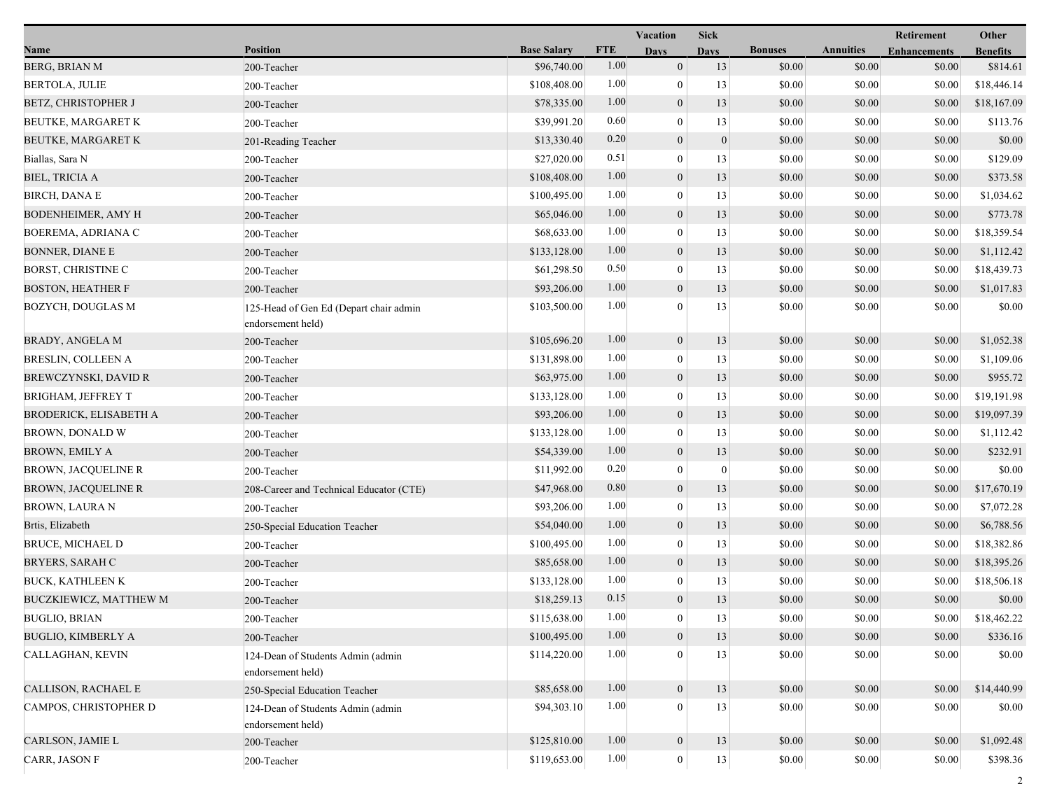|                               |                                                             |                    |            | Vacation         | <b>Sick</b>      |                |                  | Retirement          | Other           |
|-------------------------------|-------------------------------------------------------------|--------------------|------------|------------------|------------------|----------------|------------------|---------------------|-----------------|
| Name                          | <b>Position</b>                                             | <b>Base Salary</b> | <b>FTE</b> | <b>Days</b>      | <b>Days</b>      | <b>Bonuses</b> | <b>Annuities</b> | <b>Enhancements</b> | <b>Benefits</b> |
| BERG, BRIAN M                 | 200-Teacher                                                 | \$96,740.00        | 1.00       | $\mathbf{0}$     | 13               | \$0.00         | \$0.00           | \$0.00              | \$814.61        |
| <b>BERTOLA, JULIE</b>         | 200-Teacher                                                 | \$108,408.00       | 1.00       | $\mathbf{0}$     | 13               | \$0.00         | \$0.00           | \$0.00              | \$18,446.14     |
| BETZ, CHRISTOPHER J           | 200-Teacher                                                 | \$78,335.00        | 1.00       | $\boldsymbol{0}$ | 13               | \$0.00         | \$0.00           | \$0.00              | \$18,167.09     |
| BEUTKE, MARGARET K            | 200-Teacher                                                 | \$39,991.20        | 0.60       | $\mathbf{0}$     | 13               | \$0.00         | \$0.00           | \$0.00              | \$113.76        |
| BEUTKE, MARGARET K            | 201-Reading Teacher                                         | \$13,330.40        | 0.20       | $\boldsymbol{0}$ | $\mathbf{0}$     | \$0.00         | \$0.00           | \$0.00              | \$0.00          |
| Biallas, Sara N               | 200-Teacher                                                 | \$27,020.00        | 0.51       | $\mathbf{0}$     | 13               | \$0.00         | \$0.00           | \$0.00              | \$129.09        |
| BIEL, TRICIA A                | 200-Teacher                                                 | \$108,408.00       | 1.00       | $\overline{0}$   | 13               | \$0.00         | \$0.00           | \$0.00              | \$373.58        |
| <b>BIRCH, DANA E</b>          | 200-Teacher                                                 | \$100,495.00       | 1.00       | $\mathbf{0}$     | 13               | \$0.00         | \$0.00           | \$0.00              | \$1,034.62      |
| <b>BODENHEIMER, AMY H</b>     | 200-Teacher                                                 | \$65,046.00        | 1.00       | $\boldsymbol{0}$ | 13               | \$0.00         | \$0.00           | \$0.00              | \$773.78        |
| BOEREMA, ADRIANA C            | 200-Teacher                                                 | \$68,633.00        | 1.00       | $\mathbf{0}$     | 13               | \$0.00         | \$0.00           | \$0.00              | \$18,359.54     |
| <b>BONNER, DIANE E</b>        | 200-Teacher                                                 | \$133,128.00       | 1.00       | $\overline{0}$   | 13               | \$0.00         | \$0.00           | \$0.00              | \$1,112.42      |
| <b>BORST, CHRISTINE C</b>     | 200-Teacher                                                 | \$61,298.50        | 0.50       | $\bf{0}$         | 13               | \$0.00         | \$0.00           | \$0.00              | \$18,439.73     |
| <b>BOSTON, HEATHER F</b>      | 200-Teacher                                                 | \$93,206.00        | 1.00       | $\overline{0}$   | 13               | \$0.00         | \$0.00           | \$0.00              | \$1,017.83      |
| <b>BOZYCH, DOUGLAS M</b>      | 125-Head of Gen Ed (Depart chair admin<br>endorsement held) | \$103,500.00       | 1.00       | $\theta$         | 13               | \$0.00         | \$0.00           | \$0.00              | \$0.00          |
| <b>BRADY, ANGELA M</b>        | 200-Teacher                                                 | \$105,696.20       | 1.00       | $\mathbf{0}$     | 13               | \$0.00         | \$0.00           | \$0.00              | \$1,052.38      |
| BRESLIN, COLLEEN A            | 200-Teacher                                                 | \$131,898.00       | 1.00       | $\mathbf{0}$     | 13               | \$0.00         | \$0.00           | \$0.00              | \$1,109.06      |
| BREWCZYNSKI, DAVID R          | 200-Teacher                                                 | \$63,975.00        | 1.00       | $\boldsymbol{0}$ | 13               | \$0.00         | \$0.00           | \$0.00              | \$955.72        |
| <b>BRIGHAM, JEFFREY T</b>     | 200-Teacher                                                 | \$133,128.00       | 1.00       | $\mathbf{0}$     | 13               | \$0.00         | \$0.00           | \$0.00              | \$19,191.98     |
| <b>BRODERICK, ELISABETH A</b> | 200-Teacher                                                 | \$93,206.00        | 1.00       | $\mathbf{0}$     | 13               | \$0.00         | \$0.00           | \$0.00              | \$19,097.39     |
| <b>BROWN, DONALD W</b>        | 200-Teacher                                                 | \$133,128.00       | 1.00       | $\mathbf{0}$     | 13               | \$0.00         | \$0.00           | \$0.00              | \$1,112.42      |
| <b>BROWN, EMILY A</b>         | 200-Teacher                                                 | \$54,339.00        | 1.00       | $\mathbf{0}$     | 13               | \$0.00         | \$0.00           | \$0.00              | \$232.91        |
| <b>BROWN, JACQUELINE R</b>    | 200-Teacher                                                 | \$11,992.00        | 0.20       | $\mathbf{0}$     | $\boldsymbol{0}$ | \$0.00         | \$0.00           | \$0.00              | \$0.00          |
| <b>BROWN, JACQUELINE R</b>    | 208-Career and Technical Educator (CTE)                     | \$47,968.00        | 0.80       | $\overline{0}$   | 13               | \$0.00         | \$0.00           | \$0.00              | \$17,670.19     |
| <b>BROWN, LAURA N</b>         | 200-Teacher                                                 | \$93,206.00        | 1.00       | $\mathbf{0}$     | 13               | \$0.00         | \$0.00           | \$0.00              | \$7,072.28      |
| Brtis, Elizabeth              | 250-Special Education Teacher                               | \$54,040.00        | 1.00       | $\mathbf{0}$     | 13               | \$0.00         | \$0.00           | \$0.00              | \$6,788.56      |
| <b>BRUCE, MICHAEL D</b>       | 200-Teacher                                                 | \$100,495.00       | 1.00       | $\mathbf{0}$     | 13               | \$0.00         | \$0.00           | \$0.00              | \$18,382.86     |
| BRYERS, SARAH C               | 200-Teacher                                                 | \$85,658.00        | 1.00       | $\boldsymbol{0}$ | 13               | \$0.00         | \$0.00           | \$0.00              | \$18,395.26     |
| <b>BUCK, KATHLEEN K</b>       | 200-Teacher                                                 | \$133,128.00       | 1.00       | $\mathbf{0}$     | 13               | \$0.00         | \$0.00           | \$0.00              | \$18,506.18     |
| <b>BUCZKIEWICZ, MATTHEW M</b> | 200-Teacher                                                 | \$18,259.13        | 0.15       | $\overline{0}$   | 13               | \$0.00         | \$0.00           | \$0.00              | \$0.00          |
| <b>BUGLIO, BRIAN</b>          | 200-Teacher                                                 | \$115,638.00       | 1.00       | $\boldsymbol{0}$ | 13               | \$0.00         | \$0.00           | \$0.00              | \$18,462.22     |
| <b>BUGLIO, KIMBERLY A</b>     | 200-Teacher                                                 | \$100,495.00       | 1.00       | $\overline{0}$   | 13               | \$0.00         | \$0.00           | \$0.00              | \$336.16        |
| <b>CALLAGHAN, KEVIN</b>       | 124-Dean of Students Admin (admin<br>endorsement held)      | \$114,220.00       | 1.00       | $\theta$         | 13               | \$0.00         | \$0.00           | \$0.00              | \$0.00          |
| CALLISON, RACHAEL E           | 250-Special Education Teacher                               | \$85,658.00        | 1.00       | $\overline{0}$   | 13               | \$0.00         | \$0.00           | \$0.00              | \$14,440.99     |
| CAMPOS, CHRISTOPHER D         | 124-Dean of Students Admin (admin<br>endorsement held)      | \$94,303.10        | 1.00       | 0                | 13               | \$0.00         | \$0.00           | \$0.00              | \$0.00          |
| CARLSON, JAMIE L              | 200-Teacher                                                 | \$125,810.00       | 1.00       | $\mathbf{0}$     | 13               | \$0.00         | \$0.00           | \$0.00              | \$1,092.48      |
| CARR, JASON F                 | 200-Teacher                                                 | \$119,653.00       | 1.00       | 0 <sup>1</sup>   | 13               | \$0.00         | \$0.00           | \$0.00              | \$398.36        |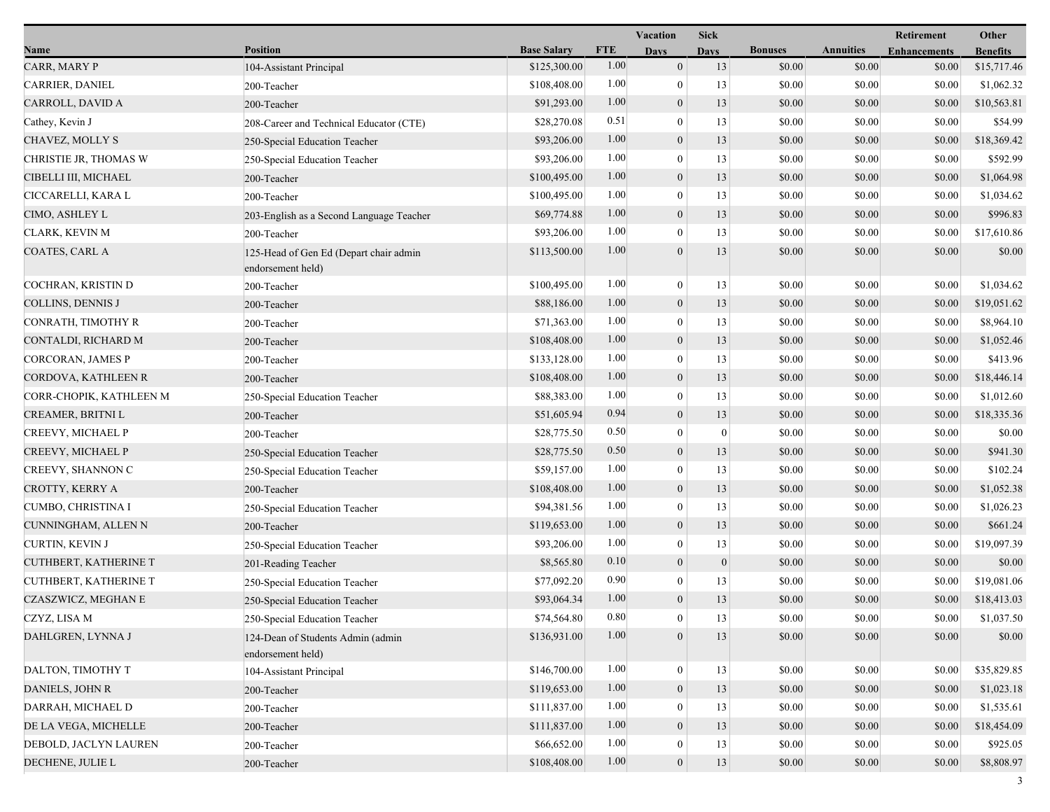|                              |                                                             |                    |            | Vacation         | <b>Sick</b>      |                |                  | Retirement          | Other           |
|------------------------------|-------------------------------------------------------------|--------------------|------------|------------------|------------------|----------------|------------------|---------------------|-----------------|
| Name                         | <b>Position</b>                                             | <b>Base Salary</b> | <b>FTE</b> | <b>Days</b>      | <b>Days</b>      | <b>Bonuses</b> | <b>Annuities</b> | <b>Enhancements</b> | <b>Benefits</b> |
| CARR, MARY P                 | 104-Assistant Principal                                     | \$125,300.00       | 1.00       | $\mathbf{0}$     | 13               | \$0.00         | \$0.00           | \$0.00              | \$15,717.46     |
| CARRIER, DANIEL              | 200-Teacher                                                 | \$108,408.00       | 1.00       | $\bf{0}$         | 13               | \$0.00         | \$0.00           | \$0.00              | \$1,062.32      |
| CARROLL, DAVID A             | 200-Teacher                                                 | \$91,293.00        | 1.00       | $\boldsymbol{0}$ | 13               | \$0.00         | \$0.00           | \$0.00              | \$10,563.81     |
| Cathey, Kevin J              | 208-Career and Technical Educator (CTE)                     | \$28,270.08        | 0.51       | $\mathbf{0}$     | 13               | \$0.00         | \$0.00           | \$0.00              | \$54.99         |
| CHAVEZ, MOLLY S              | 250-Special Education Teacher                               | \$93,206.00        | 1.00       | $\mathbf{0}$     | 13               | \$0.00         | \$0.00           | \$0.00              | \$18,369.42     |
| CHRISTIE JR, THOMAS W        | 250-Special Education Teacher                               | \$93,206.00        | 1.00       | $\boldsymbol{0}$ | 13               | \$0.00         | \$0.00           | \$0.00              | \$592.99        |
| CIBELLI III, MICHAEL         | 200-Teacher                                                 | \$100,495.00       | 1.00       | $\mathbf{0}$     | 13               | \$0.00         | \$0.00           | \$0.00              | \$1,064.98      |
| CICCARELLI, KARA L           | 200-Teacher                                                 | \$100,495.00       | 1.00       | $\theta$         | 13               | \$0.00         | \$0.00           | \$0.00              | \$1,034.62      |
| CIMO, ASHLEY L               | 203-English as a Second Language Teacher                    | \$69,774.88        | 1.00       | $\boldsymbol{0}$ | 13               | \$0.00         | \$0.00           | \$0.00              | \$996.83        |
| <b>CLARK, KEVIN M</b>        | 200-Teacher                                                 | \$93,206.00        | 1.00       | $\theta$         | 13               | \$0.00         | \$0.00           | \$0.00              | \$17,610.86     |
| COATES, CARL A               | 125-Head of Gen Ed (Depart chair admin<br>endorsement held) | \$113,500.00       | 1.00       | $\theta$         | 13               | \$0.00         | \$0.00           | \$0.00              | \$0.00          |
| COCHRAN, KRISTIN D           | 200-Teacher                                                 | \$100,495.00       | 1.00       | $\boldsymbol{0}$ | 13               | \$0.00         | \$0.00           | \$0.00              | \$1,034.62      |
| COLLINS, DENNIS J            | 200-Teacher                                                 | \$88,186.00        | 1.00       | $\mathbf{0}$     | 13               | \$0.00         | \$0.00           | \$0.00              | \$19,051.62     |
| CONRATH, TIMOTHY R           | 200-Teacher                                                 | \$71,363.00        | 1.00       | $\mathbf{0}$     | 13               | \$0.00         | \$0.00           | \$0.00              | \$8,964.10      |
| CONTALDI, RICHARD M          | 200-Teacher                                                 | \$108,408.00       | 1.00       | $\boldsymbol{0}$ | 13               | \$0.00         | \$0.00           | \$0.00              | \$1,052.46      |
| CORCORAN, JAMES P            | 200-Teacher                                                 | \$133,128.00       | 1.00       | $\boldsymbol{0}$ | 13               | \$0.00         | \$0.00           | \$0.00              | \$413.96        |
| CORDOVA, KATHLEEN R          | 200-Teacher                                                 | \$108,408.00       | 1.00       | $\boldsymbol{0}$ | 13               | \$0.00         | \$0.00           | \$0.00              | \$18,446.14     |
| CORR-CHOPIK, KATHLEEN M      | 250-Special Education Teacher                               | \$88,383.00        | 1.00       | $\bf{0}$         | 13               | \$0.00         | \$0.00           | \$0.00              | \$1,012.60      |
| CREAMER, BRITNI L            | 200-Teacher                                                 | \$51,605.94        | 0.94       | $\overline{0}$   | 13               | \$0.00         | \$0.00           | \$0.00              | \$18,335.36     |
| CREEVY, MICHAEL P            | 200-Teacher                                                 | \$28,775.50        | 0.50       | $\mathbf{0}$     | $\boldsymbol{0}$ | \$0.00         | \$0.00           | \$0.00              | \$0.00          |
| CREEVY, MICHAEL P            | 250-Special Education Teacher                               | \$28,775.50        | 0.50       | $\boldsymbol{0}$ | 13               | \$0.00         | \$0.00           | \$0.00              | \$941.30        |
| CREEVY, SHANNON C            | 250-Special Education Teacher                               | \$59,157.00        | 1.00       | $\boldsymbol{0}$ | 13               | \$0.00         | \$0.00           | \$0.00              | \$102.24        |
| CROTTY, KERRY A              | 200-Teacher                                                 | \$108,408.00       | 1.00       | $\mathbf{0}$     | 13               | \$0.00         | \$0.00           | \$0.00              | \$1,052.38      |
| CUMBO, CHRISTINA I           | 250-Special Education Teacher                               | \$94,381.56        | 1.00       | $\bf{0}$         | 13               | \$0.00         | \$0.00           | \$0.00              | \$1,026.23      |
| CUNNINGHAM, ALLEN N          | 200-Teacher                                                 | \$119,653.00       | 1.00       | $\mathbf{0}$     | 13               | \$0.00         | \$0.00           | \$0.00              | \$661.24        |
| <b>CURTIN, KEVIN J</b>       | 250-Special Education Teacher                               | \$93,206.00        | 1.00       | $\mathbf{0}$     | 13               | \$0.00         | \$0.00           | \$0.00              | \$19,097.39     |
| CUTHBERT, KATHERINE T        | 201-Reading Teacher                                         | \$8,565.80         | 0.10       | $\boldsymbol{0}$ | $\mathbf{0}$     | \$0.00         | \$0.00           | \$0.00              | \$0.00          |
| <b>CUTHBERT, KATHERINE T</b> | 250-Special Education Teacher                               | \$77,092.20        | 0.90       | $\boldsymbol{0}$ | 13               | \$0.00         | \$0.00           | \$0.00              | \$19,081.06     |
| CZASZWICZ, MEGHAN E          | 250-Special Education Teacher                               | \$93,064.34        | 1.00       | $\mathbf{0}$     | 13               | \$0.00         | \$0.00           | \$0.00              | \$18,413.03     |
| CZYZ, LISA M                 | 250-Special Education Teacher                               | \$74,564.80        | $0.80\,$   | $\boldsymbol{0}$ | 13               | \$0.00         | \$0.00           | \$0.00              | \$1,037.50      |
| DAHLGREN, LYNNA J            | 124-Dean of Students Admin (admin<br>endorsement held)      | \$136,931.00       | 1.00       | $\mathbf{0}$     | 13               | \$0.00         | \$0.00           | \$0.00              | \$0.00          |
| DALTON, TIMOTHY T            | 104-Assistant Principal                                     | \$146,700.00       | 1.00       | $\mathbf{0}$     | 13               | \$0.00         | \$0.00           | \$0.00              | \$35,829.85     |
| DANIELS, JOHN R              | 200-Teacher                                                 | \$119,653.00       | 1.00       | $\mathbf{0}$     | 13               | \$0.00         | \$0.00           | \$0.00              | \$1,023.18      |
| DARRAH, MICHAEL D            | 200-Teacher                                                 | \$111,837.00       | 1.00       | $\theta$         | 13               | \$0.00         | \$0.00           | \$0.00              | \$1,535.61      |
| DE LA VEGA, MICHELLE         | 200-Teacher                                                 | \$111,837.00       | 1.00       | $\mathbf{0}$     | 13               | \$0.00         | \$0.00           | \$0.00              | \$18,454.09     |
| DEBOLD, JACLYN LAUREN        | 200-Teacher                                                 | \$66,652.00        | 1.00       | $\theta$         | 13               | \$0.00         | \$0.00           | \$0.00              | \$925.05        |
| DECHENE, JULIE L             | 200-Teacher                                                 | \$108,408.00       | 1.00       | $\boldsymbol{0}$ | 13               | \$0.00         | \$0.00           | \$0.00              | \$8,808.97      |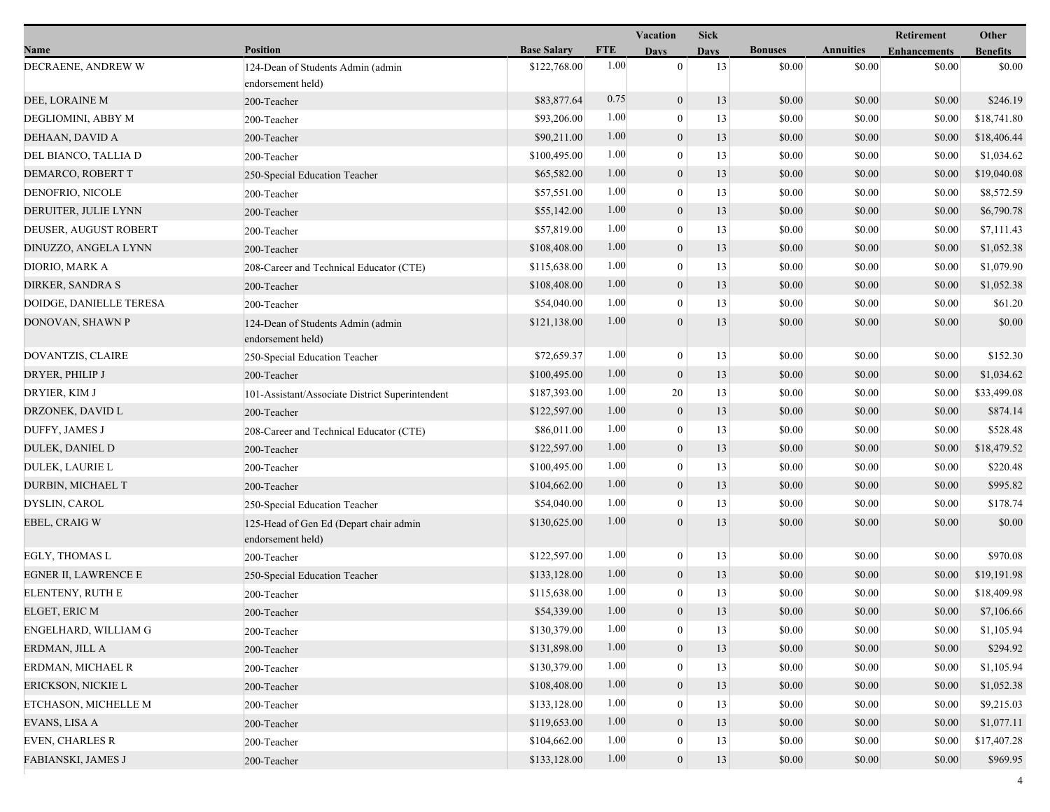|                             |                                                             |                    |            | Vacation         | <b>Sick</b> |                |                  | Retirement          | Other           |
|-----------------------------|-------------------------------------------------------------|--------------------|------------|------------------|-------------|----------------|------------------|---------------------|-----------------|
| Name                        | <b>Position</b>                                             | <b>Base Salary</b> | <b>FTE</b> | <b>Days</b>      | <b>Days</b> | <b>Bonuses</b> | <b>Annuities</b> | <b>Enhancements</b> | <b>Benefits</b> |
| DECRAENE, ANDREW W          | 124-Dean of Students Admin (admin<br>endorsement held)      | \$122,768.00       | 1.00       | $\overline{0}$   | 13          | \$0.00         | \$0.00           | \$0.00              | \$0.00          |
| DEE, LORAINE M              | 200-Teacher                                                 | \$83,877.64        | 0.75       | $\mathbf{0}$     | 13          | \$0.00         | \$0.00           | \$0.00              | \$246.19        |
| DEGLIOMINI, ABBY M          | 200-Teacher                                                 | \$93,206.00        | 1.00       | $\overline{0}$   | 13          | \$0.00         | \$0.00           | \$0.00              | \$18,741.80     |
| DEHAAN, DAVID A             | 200-Teacher                                                 | \$90,211.00        | 1.00       | $\overline{0}$   | 13          | \$0.00         | \$0.00           | \$0.00              | \$18,406.44     |
| DEL BIANCO, TALLIA D        | 200-Teacher                                                 | \$100,495.00       | 1.00       | $\overline{0}$   | 13          | \$0.00         | \$0.00           | \$0.00              | \$1,034.62      |
| DEMARCO, ROBERT T           | 250-Special Education Teacher                               | \$65,582.00        | 1.00       | $\boldsymbol{0}$ | 13          | \$0.00         | \$0.00           | \$0.00              | \$19,040.08     |
| DENOFRIO, NICOLE            | 200-Teacher                                                 | \$57,551.00        | 1.00       | $\overline{0}$   | 13          | \$0.00         | \$0.00           | \$0.00              | \$8,572.59      |
| DERUITER, JULIE LYNN        | 200-Teacher                                                 | \$55,142.00        | 1.00       | $\overline{0}$   | 13          | \$0.00         | \$0.00           | \$0.00              | \$6,790.78      |
| DEUSER, AUGUST ROBERT       | 200-Teacher                                                 | \$57,819.00        | 1.00       | $\overline{0}$   | 13          | \$0.00         | \$0.00           | \$0.00              | \$7,111.43      |
| DINUZZO, ANGELA LYNN        | 200-Teacher                                                 | \$108,408.00       | 1.00       | $\boldsymbol{0}$ | 13          | \$0.00         | \$0.00           | \$0.00              | \$1,052.38      |
| DIORIO, MARK A              | 208-Career and Technical Educator (CTE)                     | \$115,638.00       | 1.00       | $\mathbf{0}$     | 13          | \$0.00         | \$0.00           | \$0.00              | \$1,079.90      |
| DIRKER, SANDRA S            | 200-Teacher                                                 | \$108,408.00       | 1.00       | $\overline{0}$   | 13          | \$0.00         | \$0.00           | \$0.00              | \$1,052.38      |
| DOIDGE, DANIELLE TERESA     | 200-Teacher                                                 | \$54,040.00        | 1.00       | $\theta$         | 13          | \$0.00         | \$0.00           | \$0.00              | \$61.20         |
| DONOVAN, SHAWN P            | 124-Dean of Students Admin (admin<br>endorsement held)      | \$121,138.00       | 1.00       | $\overline{0}$   | 13          | \$0.00         | \$0.00           | \$0.00              | \$0.00          |
| <b>DOVANTZIS, CLAIRE</b>    | 250-Special Education Teacher                               | \$72,659.37        | 1.00       | $\bf{0}$         | 13          | \$0.00         | \$0.00           | \$0.00              | \$152.30        |
| DRYER, PHILIP J             | 200-Teacher                                                 | \$100,495.00       | 1.00       | $\overline{0}$   | 13          | \$0.00         | \$0.00           | \$0.00              | \$1,034.62      |
| DRYIER, KIM J               | 101-Assistant/Associate District Superintendent             | \$187,393.00       | 1.00       | 20               | 13          | \$0.00         | \$0.00           | \$0.00              | \$33,499.08     |
| DRZONEK, DAVID L            | 200-Teacher                                                 | \$122,597.00       | 1.00       | $\mathbf{0}$     | 13          | \$0.00         | \$0.00           | \$0.00              | \$874.14        |
| <b>DUFFY, JAMES J</b>       | 208-Career and Technical Educator (CTE)                     | \$86,011.00        | 1.00       | $\mathbf{0}$     | 13          | \$0.00         | \$0.00           | \$0.00              | \$528.48        |
| DULEK, DANIEL D             | 200-Teacher                                                 | \$122,597.00       | 1.00       | $\overline{0}$   | 13          | \$0.00         | \$0.00           | \$0.00              | \$18,479.52     |
| DULEK, LAURIE L             | 200-Teacher                                                 | \$100,495.00       | 1.00       | $\mathbf{0}$     | 13          | \$0.00         | \$0.00           | \$0.00              | \$220.48        |
| DURBIN, MICHAEL T           | 200-Teacher                                                 | \$104,662.00       | 1.00       | $\overline{0}$   | 13          | \$0.00         | \$0.00           | \$0.00              | \$995.82        |
| DYSLIN, CAROL               | 250-Special Education Teacher                               | \$54,040.00        | 1.00       | $\theta$         | 13          | \$0.00         | \$0.00           | \$0.00              | \$178.74        |
| EBEL, CRAIG W               | 125-Head of Gen Ed (Depart chair admin<br>endorsement held) | \$130,625.00       | 1.00       | $\overline{0}$   | 13          | \$0.00         | \$0.00           | \$0.00              | \$0.00          |
| EGLY, THOMAS L              | 200-Teacher                                                 | \$122,597.00       | 1.00       | $\boldsymbol{0}$ | 13          | \$0.00         | \$0.00           | \$0.00              | \$970.08        |
| <b>EGNER II, LAWRENCE E</b> | 250-Special Education Teacher                               | \$133,128.00       | 1.00       | $\mathbf{0}$     | 13          | \$0.00         | \$0.00           | \$0.00              | \$19,191.98     |
| ELENTENY, RUTH E            | 200-Teacher                                                 | \$115,638.00       | 1.00       | $\mathbf{0}$     | 13          | \$0.00         | \$0.00           | \$0.00              | \$18,409.98     |
| ELGET, ERIC M               | 200-Teacher                                                 | \$54,339.00        | 1.00       | $\overline{0}$   | 13          | \$0.00         | \$0.00           | \$0.00              | \$7,106.66      |
| ENGELHARD, WILLIAM G        | 200-Teacher                                                 | \$130,379.00       | 1.00       | $\bf{0}$         | 13          | \$0.00         | \$0.00           | \$0.00              | \$1,105.94      |
| ERDMAN, JILL A              | 200-Teacher                                                 | \$131,898.00       | 1.00       | $\overline{0}$   | 13          | \$0.00         | \$0.00           | \$0.00              | \$294.92        |
| ERDMAN, MICHAEL R           | 200-Teacher                                                 | \$130,379.00       | 1.00       | 0                | 13          | \$0.00         | \$0.00           | \$0.00              | \$1,105.94      |
| ERICKSON, NICKIE L          | 200-Teacher                                                 | \$108,408.00       | 1.00       | $\mathbf{0}$     | 13          | \$0.00         | \$0.00           | \$0.00              | \$1,052.38      |
| ETCHASON, MICHELLE M        | 200-Teacher                                                 | \$133,128.00       | 1.00       | $\mathbf{0}$     | 13          | \$0.00         | \$0.00           | \$0.00              | \$9,215.03      |
| EVANS, LISA A               | 200-Teacher                                                 | \$119,653.00       | 1.00       | $\overline{0}$   | 13          | \$0.00         | \$0.00           | \$0.00              | \$1,077.11      |
| <b>EVEN, CHARLES R</b>      | 200-Teacher                                                 | \$104,662.00       | 1.00       | $\theta$         | 13          | \$0.00         | \$0.00           | \$0.00              | \$17,407.28     |
| FABIANSKI, JAMES J          | 200-Teacher                                                 | \$133,128.00       | 1.00       | $\mathbf{0}$     | 13          | \$0.00         | \$0.00           | \$0.00              | \$969.95        |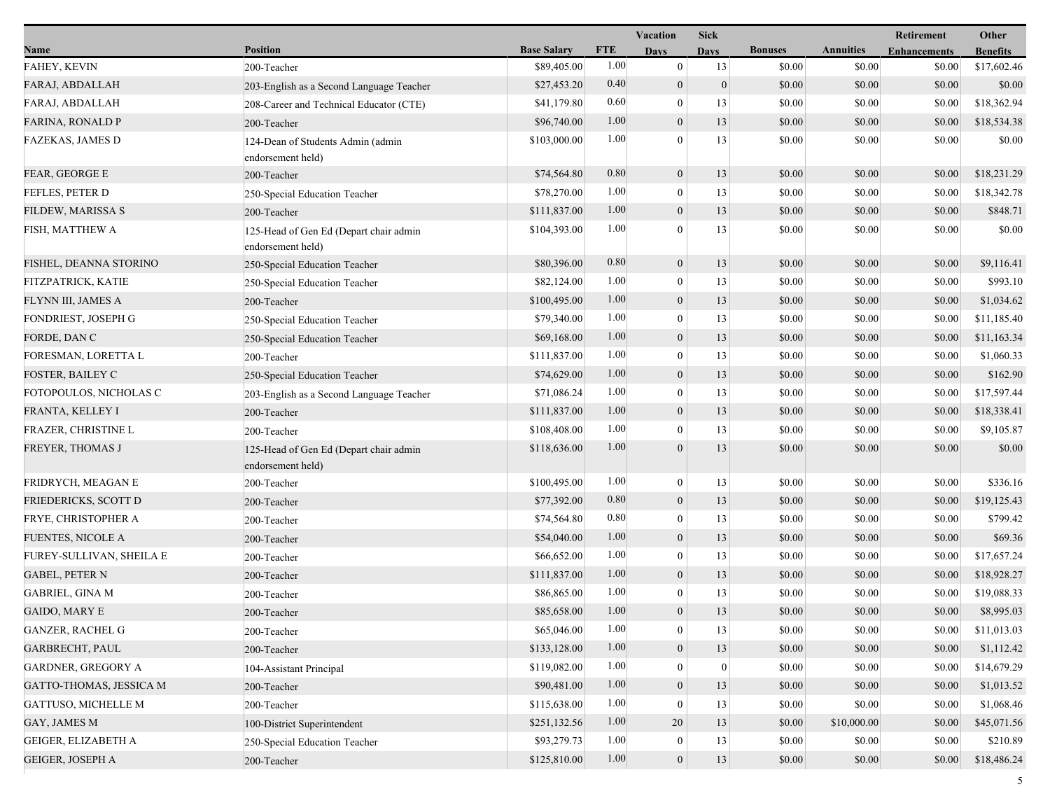|                           |                                                             |                    |            | Vacation         | <b>Sick</b>      |                |                  | <b>Retirement</b>   | Other           |
|---------------------------|-------------------------------------------------------------|--------------------|------------|------------------|------------------|----------------|------------------|---------------------|-----------------|
| Name                      | <b>Position</b>                                             | <b>Base Salary</b> | <b>FTE</b> | <b>Days</b>      | <b>Days</b>      | <b>Bonuses</b> | <b>Annuities</b> | <b>Enhancements</b> | <b>Benefits</b> |
| FAHEY, KEVIN              | 200-Teacher                                                 | \$89,405.00        | 1.00       | $\mathbf{0}$     | 13               | \$0.00         | \$0.00           | \$0.00              | \$17,602.46     |
| FARAJ, ABDALLAH           | 203-English as a Second Language Teacher                    | \$27,453.20        | 0.40       | $\boldsymbol{0}$ | $\mathbf{0}$     | \$0.00         | \$0.00           | \$0.00              | \$0.00          |
| FARAJ, ABDALLAH           | 208-Career and Technical Educator (CTE)                     | \$41,179.80        | 0.60       | $\boldsymbol{0}$ | 13               | \$0.00         | \$0.00           | \$0.00              | \$18,362.94     |
| <b>FARINA, RONALD P</b>   | 200-Teacher                                                 | \$96,740.00        | 1.00       | $\mathbf{0}$     | 13               | \$0.00         | \$0.00           | \$0.00              | \$18,534.38     |
| <b>FAZEKAS, JAMES D</b>   | 124-Dean of Students Admin (admin<br>endorsement held)      | \$103,000.00       | 1.00       | $\theta$         | 13               | \$0.00         | \$0.00           | \$0.00              | \$0.00          |
| FEAR, GEORGE E            | 200-Teacher                                                 | \$74,564.80        | 0.80       | $\mathbf{0}$     | 13               | \$0.00         | \$0.00           | \$0.00              | \$18,231.29     |
| FEFLES, PETER D           | 250-Special Education Teacher                               | \$78,270.00        | 1.00       | $\mathbf{0}$     | 13               | \$0.00         | \$0.00           | \$0.00              | \$18,342.78     |
| FILDEW, MARISSA S         | 200-Teacher                                                 | \$111,837.00       | 1.00       | $\boldsymbol{0}$ | 13               | \$0.00         | \$0.00           | \$0.00              | \$848.71        |
| FISH, MATTHEW A           | 125-Head of Gen Ed (Depart chair admin<br>endorsement held) | \$104,393.00       | 1.00       | $\Omega$         | 13               | \$0.00         | \$0.00           | \$0.00              | \$0.00          |
| FISHEL, DEANNA STORINO    | 250-Special Education Teacher                               | \$80,396.00        | 0.80       | $\boldsymbol{0}$ | 13               | \$0.00         | \$0.00           | \$0.00              | \$9,116.41      |
| FITZPATRICK, KATIE        | 250-Special Education Teacher                               | \$82,124.00        | 1.00       | $\bf{0}$         | 13               | \$0.00         | \$0.00           | \$0.00              | \$993.10        |
| FLYNN III, JAMES A        | 200-Teacher                                                 | \$100,495.00       | 1.00       | $\boldsymbol{0}$ | 13               | \$0.00         | \$0.00           | \$0.00              | \$1,034.62      |
| FONDRIEST, JOSEPH G       | 250-Special Education Teacher                               | \$79,340.00        | 1.00       | $\boldsymbol{0}$ | 13               | \$0.00         | \$0.00           | \$0.00              | \$11,185.40     |
| FORDE, DAN C              | 250-Special Education Teacher                               | \$69,168.00        | 1.00       | $\mathbf{0}$     | 13               | \$0.00         | \$0.00           | \$0.00              | \$11,163.34     |
| FORESMAN, LORETTA L       | 200-Teacher                                                 | \$111,837.00       | 1.00       | $\overline{0}$   | 13               | \$0.00         | \$0.00           | \$0.00              | \$1,060.33      |
| FOSTER, BAILEY C          | 250-Special Education Teacher                               | \$74,629.00        | 1.00       | $\boldsymbol{0}$ | 13               | \$0.00         | \$0.00           | \$0.00              | \$162.90        |
| FOTOPOULOS, NICHOLAS C    | 203-English as a Second Language Teacher                    | \$71,086.24        | 1.00       | $\bf{0}$         | 13               | \$0.00         | \$0.00           | \$0.00              | \$17,597.44     |
| FRANTA, KELLEY I          | 200-Teacher                                                 | \$111,837.00       | 1.00       | $\mathbf{0}$     | 13               | \$0.00         | \$0.00           | \$0.00              | \$18,338.41     |
| FRAZER, CHRISTINE L       | 200-Teacher                                                 | \$108,408.00       | 1.00       | $\mathbf{0}$     | 13               | \$0.00         | \$0.00           | \$0.00              | \$9,105.87      |
| FREYER, THOMAS J          | 125-Head of Gen Ed (Depart chair admin<br>endorsement held) | \$118,636.00       | 1.00       | $\theta$         | 13               | \$0.00         | \$0.00           | \$0.00              | \$0.00          |
| FRIDRYCH, MEAGAN E        | 200-Teacher                                                 | \$100,495.00       | 1.00       | $\boldsymbol{0}$ | 13               | \$0.00         | \$0.00           | \$0.00              | \$336.16        |
| FRIEDERICKS, SCOTT D      | 200-Teacher                                                 | \$77,392.00        | 0.80       | $\boldsymbol{0}$ | 13               | \$0.00         | \$0.00           | \$0.00              | \$19,125.43     |
| FRYE, CHRISTOPHER A       | 200-Teacher                                                 | \$74,564.80        | 0.80       | $\mathbf{0}$     | 13               | \$0.00         | \$0.00           | \$0.00              | \$799.42        |
| <b>FUENTES, NICOLE A</b>  | 200-Teacher                                                 | \$54,040.00        | 1.00       | $\boldsymbol{0}$ | 13               | \$0.00         | \$0.00           | \$0.00              | \$69.36         |
| FUREY-SULLIVAN, SHEILA E  | 200-Teacher                                                 | \$66,652.00        | 1.00       | $\boldsymbol{0}$ | 13               | \$0.00         | \$0.00           | \$0.00              | \$17,657.24     |
| <b>GABEL, PETER N</b>     | 200-Teacher                                                 | \$111,837.00       | 1.00       | $\mathbf{0}$     | 13               | \$0.00         | \$0.00           | \$0.00              | \$18,928.27     |
| <b>GABRIEL, GINA M</b>    | 200-Teacher                                                 | \$86,865.00        | 1.00       | $\bf{0}$         | 13               | \$0.00         | \$0.00           | \$0.00              | \$19,088.33     |
| <b>GAIDO, MARY E</b>      | 200-Teacher                                                 | \$85,658.00        | 1.00       | $\mathbf{0}$     | 13               | \$0.00         | \$0.00           | \$0.00              | \$8,995.03      |
| <b>GANZER, RACHEL G</b>   | 200-Teacher                                                 | \$65,046.00        | 1.00       | $\boldsymbol{0}$ | 13               | \$0.00         | \$0.00           | \$0.00              | \$11,013.03     |
| <b>GARBRECHT, PAUL</b>    | 200-Teacher                                                 | \$133,128.00       | 1.00       | $\mathbf{0}$     | 13               | \$0.00         | \$0.00           | \$0.00              | \$1,112.42      |
| <b>GARDNER, GREGORY A</b> | 104-Assistant Principal                                     | \$119,082.00       | 1.00       | $\bf{0}$         | $\boldsymbol{0}$ | \$0.00         | \$0.00           | \$0.00              | \$14,679.29     |
| GATTO-THOMAS, JESSICA M   | 200-Teacher                                                 | \$90,481.00        | 1.00       | $\boldsymbol{0}$ | 13               | \$0.00         | \$0.00           | \$0.00              | \$1,013.52      |
| GATTUSO, MICHELLE M       | 200-Teacher                                                 | \$115,638.00       | 1.00       | $\bf{0}$         | 13               | \$0.00         | \$0.00           | \$0.00              | \$1,068.46      |
| GAY, JAMES M              | 100-District Superintendent                                 | \$251,132.56       | 1.00       | 20               | 13               | \$0.00         | \$10,000.00      | \$0.00              | \$45,071.56     |
| GEIGER, ELIZABETH A       | 250-Special Education Teacher                               | \$93,279.73        | 1.00       | $\boldsymbol{0}$ | 13               | \$0.00         | \$0.00           | \$0.00              | \$210.89        |
| GEIGER, JOSEPH A          | 200-Teacher                                                 | \$125,810.00       | 1.00       | $\mathbf{0}$     | 13               | \$0.00         | \$0.00           | \$0.00              | \$18,486.24     |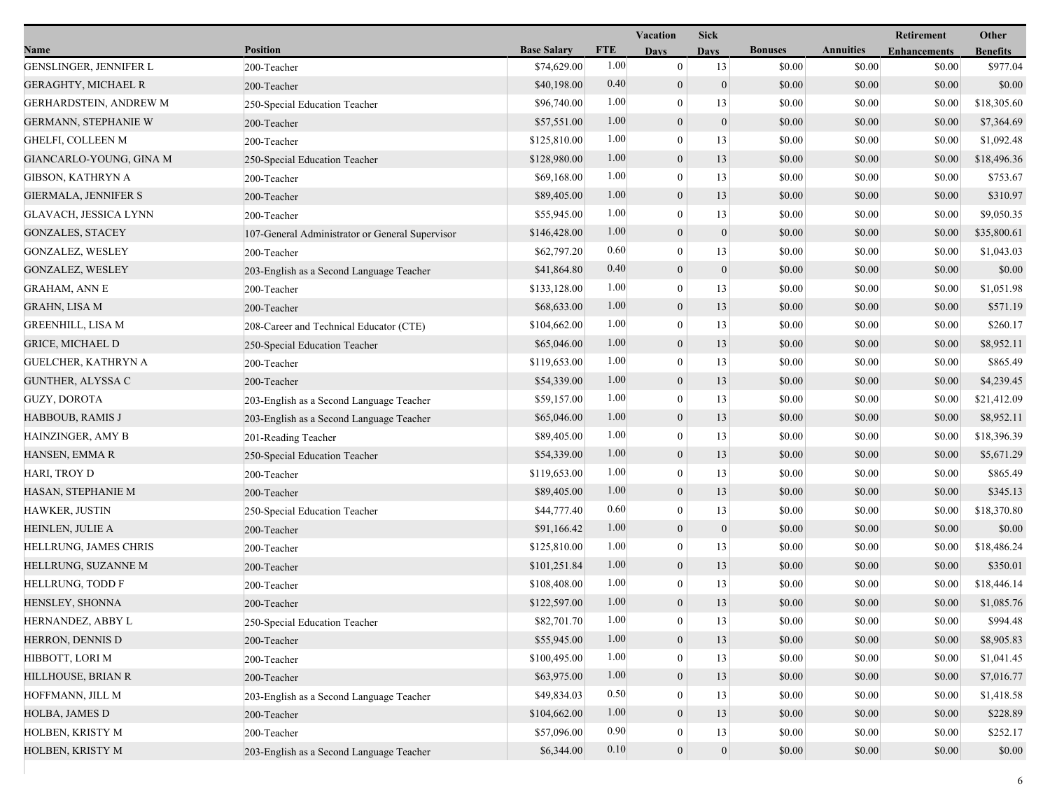|                               |                                                 |                    |            | Vacation         | <b>Sick</b>      |                |                  | Retirement          | Other           |
|-------------------------------|-------------------------------------------------|--------------------|------------|------------------|------------------|----------------|------------------|---------------------|-----------------|
| Name                          | <b>Position</b>                                 | <b>Base Salary</b> | <b>FTE</b> | <b>Days</b>      | Davs             | <b>Bonuses</b> | <b>Annuities</b> | <b>Enhancements</b> | <b>Benefits</b> |
| <b>GENSLINGER, JENNIFER L</b> | 200-Teacher                                     | \$74,629.00        | 1.00       | $\mathbf{0}$     | 13               | \$0.00         | \$0.00           | \$0.00              | \$977.04        |
| <b>GERAGHTY, MICHAEL R</b>    | 200-Teacher                                     | \$40,198.00        | 0.40       | $\boldsymbol{0}$ | $\mathbf{0}$     | \$0.00         | \$0.00           | \$0.00              | \$0.00          |
| <b>GERHARDSTEIN, ANDREW M</b> | 250-Special Education Teacher                   | \$96,740.00        | 1.00       | $\boldsymbol{0}$ | 13               | \$0.00         | \$0.00           | \$0.00              | \$18,305.60     |
| GERMANN, STEPHANIE W          | 200-Teacher                                     | \$57,551.00        | 1.00       | $\mathbf{0}$     | $\boldsymbol{0}$ | \$0.00         | \$0.00           | \$0.00              | \$7,364.69      |
| <b>GHELFI, COLLEEN M</b>      | 200-Teacher                                     | \$125,810.00       | 1.00       | $\bf{0}$         | 13               | \$0.00         | \$0.00           | \$0.00              | \$1,092.48      |
| GIANCARLO-YOUNG, GINA M       | 250-Special Education Teacher                   | \$128,980.00       | 1.00       | $\mathbf{0}$     | 13               | \$0.00         | \$0.00           | \$0.00              | \$18,496.36     |
| <b>GIBSON, KATHRYN A</b>      | 200-Teacher                                     | \$69,168.00        | 1.00       | $\mathbf{0}$     | 13               | \$0.00         | \$0.00           | \$0.00              | \$753.67        |
| <b>GIERMALA, JENNIFER S</b>   | 200-Teacher                                     | \$89,405.00        | 1.00       | $\boldsymbol{0}$ | 13               | \$0.00         | \$0.00           | \$0.00              | \$310.97        |
| GLAVACH, JESSICA LYNN         | 200-Teacher                                     | \$55,945.00        | 1.00       | $\boldsymbol{0}$ | 13               | \$0.00         | \$0.00           | \$0.00              | \$9,050.35      |
| <b>GONZALES, STACEY</b>       | 107-General Administrator or General Supervisor | \$146,428.00       | 1.00       | $\mathbf{0}$     | $\boldsymbol{0}$ | \$0.00         | \$0.00           | \$0.00              | \$35,800.61     |
| <b>GONZALEZ, WESLEY</b>       | 200-Teacher                                     | \$62,797.20        | 0.60       | $\bf{0}$         | 13               | \$0.00         | \$0.00           | \$0.00              | \$1,043.03      |
| <b>GONZALEZ, WESLEY</b>       | 203-English as a Second Language Teacher        | \$41,864.80        | 0.40       | $\boldsymbol{0}$ | $\boldsymbol{0}$ | \$0.00         | \$0.00           | \$0.00              | \$0.00          |
| GRAHAM, ANN E                 | 200-Teacher                                     | \$133,128.00       | 1.00       | $\mathbf{0}$     | 13               | \$0.00         | \$0.00           | \$0.00              | \$1,051.98      |
| <b>GRAHN, LISA M</b>          | 200-Teacher                                     | \$68,633.00        | 1.00       | $\mathbf{0}$     | 13               | \$0.00         | \$0.00           | \$0.00              | \$571.19        |
| <b>GREENHILL, LISA M</b>      | 208-Career and Technical Educator (CTE)         | \$104,662.00       | 1.00       | $\boldsymbol{0}$ | 13               | \$0.00         | \$0.00           | \$0.00              | \$260.17        |
| <b>GRICE, MICHAEL D</b>       | 250-Special Education Teacher                   | \$65,046.00        | 1.00       | $\mathbf{0}$     | 13               | \$0.00         | \$0.00           | \$0.00              | \$8,952.11      |
| <b>GUELCHER, KATHRYN A</b>    | 200-Teacher                                     | \$119,653.00       | 1.00       | $\bf{0}$         | 13               | \$0.00         | \$0.00           | \$0.00              | \$865.49        |
| <b>GUNTHER, ALYSSA C</b>      | 200-Teacher                                     | \$54,339.00        | 1.00       | $\boldsymbol{0}$ | 13               | \$0.00         | \$0.00           | \$0.00              | \$4,239.45      |
| <b>GUZY, DOROTA</b>           | 203-English as a Second Language Teacher        | \$59,157.00        | 1.00       | $\boldsymbol{0}$ | 13               | \$0.00         | \$0.00           | \$0.00              | \$21,412.09     |
| HABBOUB, RAMIS J              | 203-English as a Second Language Teacher        | \$65,046.00        | 1.00       | $\mathbf{0}$     | 13               | \$0.00         | \$0.00           | \$0.00              | \$8,952.11      |
| HAINZINGER, AMY B             | 201-Reading Teacher                             | \$89,405.00        | 1.00       | $\mathbf{0}$     | 13               | \$0.00         | \$0.00           | \$0.00              | \$18,396.39     |
| HANSEN, EMMAR                 | 250-Special Education Teacher                   | \$54,339.00        | 1.00       | $\mathbf{0}$     | 13               | \$0.00         | \$0.00           | \$0.00              | \$5,671.29      |
| HARI, TROY D                  | 200-Teacher                                     | \$119,653.00       | 1.00       | $\bf{0}$         | 13               | \$0.00         | \$0.00           | \$0.00              | \$865.49        |
| HASAN, STEPHANIE M            | 200-Teacher                                     | \$89,405.00        | 1.00       | $\overline{0}$   | 13               | \$0.00         | \$0.00           | \$0.00              | \$345.13        |
| HAWKER, JUSTIN                | 250-Special Education Teacher                   | \$44,777.40        | 0.60       | $\boldsymbol{0}$ | 13               | \$0.00         | \$0.00           | \$0.00              | \$18,370.80     |
| HEINLEN, JULIE A              | 200-Teacher                                     | \$91,166.42        | 1.00       | $\mathbf{0}$     | $\boldsymbol{0}$ | \$0.00         | \$0.00           | \$0.00              | \$0.00          |
| HELLRUNG, JAMES CHRIS         | 200-Teacher                                     | \$125,810.00       | 1.00       | $\overline{0}$   | 13               | \$0.00         | \$0.00           | \$0.00              | \$18,486.24     |
| HELLRUNG, SUZANNE M           | 200-Teacher                                     | \$101,251.84       | 1.00       | $\boldsymbol{0}$ | 13               | \$0.00         | \$0.00           | \$0.00              | \$350.01        |
| HELLRUNG, TODD F              | 200-Teacher                                     | \$108,408.00       | 1.00       | $\mathbf{0}$     | 13               | \$0.00         | \$0.00           | \$0.00              | \$18,446.14     |
| HENSLEY, SHONNA               | 200-Teacher                                     | \$122,597.00       | 1.00       | $\overline{0}$   | 13               | \$0.00         | \$0.00           | \$0.00              | \$1,085.76      |
| HERNANDEZ, ABBY L             | 250-Special Education Teacher                   | \$82,701.70        | 1.00       | $\theta$         | 13               | \$0.00         | \$0.00           | \$0.00              | \$994.48        |
| HERRON, DENNIS D              | 200-Teacher                                     | \$55,945.00        | 1.00       | $\mathbf{0}$     | 13               | \$0.00         | \$0.00           | \$0.00              | \$8,905.83      |
| HIBBOTT, LORI M               | 200-Teacher                                     | \$100,495.00       | 1.00       | $\theta$         | 13               | \$0.00         | \$0.00           | \$0.00              | \$1,041.45      |
| HILLHOUSE, BRIAN R            | 200-Teacher                                     | \$63,975.00        | 1.00       | $\overline{0}$   | 13               | \$0.00         | \$0.00           | \$0.00              | \$7,016.77      |
| HOFFMANN, JILL M              | 203-English as a Second Language Teacher        | \$49,834.03        | 0.50       | $\theta$         | 13               | \$0.00         | \$0.00           | \$0.00              | \$1,418.58      |
| HOLBA, JAMES D                | 200-Teacher                                     | \$104,662.00       | 1.00       | $\mathbf{0}$     | 13               | \$0.00         | \$0.00           | \$0.00              | \$228.89        |
| HOLBEN, KRISTY M              | 200-Teacher                                     | \$57,096.00        | 0.90       | 0                | 13               | \$0.00         | \$0.00           | \$0.00              | \$252.17        |
| HOLBEN, KRISTY M              | 203-English as a Second Language Teacher        | \$6,344.00         | 0.10       | $\boldsymbol{0}$ | $\boldsymbol{0}$ | \$0.00         | \$0.00           | \$0.00              | \$0.00          |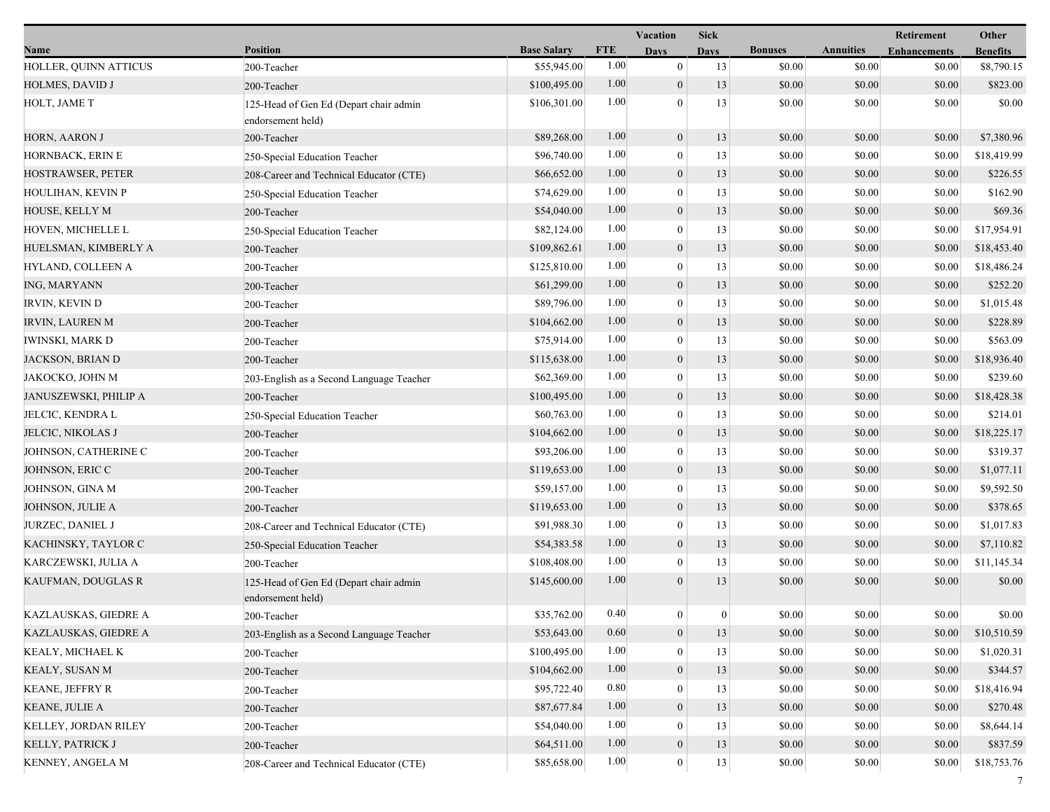|                          |                                                             |                    |            | <b>Vacation</b>  | <b>Sick</b> |                |                  | <b>Retirement</b>   | Other           |
|--------------------------|-------------------------------------------------------------|--------------------|------------|------------------|-------------|----------------|------------------|---------------------|-----------------|
| Name                     | <b>Position</b>                                             | <b>Base Salary</b> | <b>FTE</b> | <b>Days</b>      | <b>Davs</b> | <b>Bonuses</b> | <b>Annuities</b> | <b>Enhancements</b> | <b>Benefits</b> |
| HOLLER, QUINN ATTICUS    | 200-Teacher                                                 | \$55,945.00        | 1.00       | $\overline{0}$   | 13          | \$0.00         | \$0.00           | \$0.00              | \$8,790.15      |
| <b>HOLMES, DAVID J</b>   | 200-Teacher                                                 | \$100,495.00       | 1.00       | $\mathbf{0}$     | 13          | \$0.00         | \$0.00           | \$0.00              | \$823.00        |
| HOLT, JAME T             | 125-Head of Gen Ed (Depart chair admin<br>endorsement held) | \$106,301.00       | 1.00       | $\theta$         | 13          | \$0.00         | \$0.00           | \$0.00              | \$0.00          |
| HORN, AARON J            | 200-Teacher                                                 | \$89,268.00        | 1.00       | $\boldsymbol{0}$ | 13          | \$0.00         | \$0.00           | \$0.00              | \$7,380.96      |
| HORNBACK, ERIN E         | 250-Special Education Teacher                               | \$96,740.00        | 1.00       | $\mathbf{0}$     | 13          | \$0.00         | \$0.00           | \$0.00              | \$18,419.99     |
| HOSTRAWSER, PETER        | 208-Career and Technical Educator (CTE)                     | \$66,652.00        | 1.00       | $\boldsymbol{0}$ | 13          | \$0.00         | \$0.00           | \$0.00              | \$226.55        |
| HOULIHAN, KEVIN P        | 250-Special Education Teacher                               | \$74,629.00        | 1.00       | $\mathbf{0}$     | 13          | \$0.00         | \$0.00           | \$0.00              | \$162.90        |
| HOUSE, KELLY M           | 200-Teacher                                                 | \$54,040.00        | 1.00       | $\mathbf{0}$     | 13          | \$0.00         | \$0.00           | \$0.00              | \$69.36         |
| HOVEN, MICHELLE L        | 250-Special Education Teacher                               | \$82,124.00        | 1.00       | $\overline{0}$   | 13          | \$0.00         | \$0.00           | \$0.00              | \$17,954.91     |
| HUELSMAN, KIMBERLY A     | 200-Teacher                                                 | \$109,862.61       | 1.00       | $\boldsymbol{0}$ | 13          | \$0.00         | \$0.00           | \$0.00              | \$18,453.40     |
| HYLAND, COLLEEN A        | 200-Teacher                                                 | \$125,810.00       | 1.00       | $\boldsymbol{0}$ | 13          | \$0.00         | \$0.00           | \$0.00              | \$18,486.24     |
| ING, MARYANN             | 200-Teacher                                                 | \$61,299.00        | 1.00       | $\mathbf{0}$     | 13          | \$0.00         | \$0.00           | \$0.00              | \$252.20        |
| <b>IRVIN, KEVIN D</b>    | 200-Teacher                                                 | \$89,796.00        | 1.00       | $\mathbf{0}$     | 13          | \$0.00         | \$0.00           | \$0.00              | \$1,015.48      |
| IRVIN, LAUREN M          | 200-Teacher                                                 | \$104,662.00       | 1.00       | $\mathbf{0}$     | 13          | \$0.00         | \$0.00           | \$0.00              | \$228.89        |
| <b>IWINSKI, MARK D</b>   | 200-Teacher                                                 | \$75,914.00        | 1.00       | $\boldsymbol{0}$ | 13          | \$0.00         | \$0.00           | \$0.00              | \$563.09        |
| JACKSON, BRIAN D         | 200-Teacher                                                 | \$115,638.00       | 1.00       | $\boldsymbol{0}$ | 13          | \$0.00         | \$0.00           | \$0.00              | \$18,936.40     |
| JAKOCKO, JOHN M          | 203-English as a Second Language Teacher                    | \$62,369.00        | 1.00       | $\mathbf{0}$     | 13          | \$0.00         | \$0.00           | \$0.00              | \$239.60        |
| JANUSZEWSKI, PHILIP A    | 200-Teacher                                                 | \$100,495.00       | 1.00       | $\boldsymbol{0}$ | 13          | \$0.00         | \$0.00           | \$0.00              | \$18,428.38     |
| JELCIC, KENDRA L         | 250-Special Education Teacher                               | \$60,763.00        | 1.00       | $\boldsymbol{0}$ | 13          | \$0.00         | \$0.00           | \$0.00              | \$214.01        |
| <b>JELCIC, NIKOLAS J</b> | 200-Teacher                                                 | \$104,662.00       | 1.00       | $\mathbf{0}$     | 13          | \$0.00         | \$0.00           | \$0.00              | \$18,225.17     |
| JOHNSON, CATHERINE C     | 200-Teacher                                                 | \$93,206.00        | 1.00       | $\boldsymbol{0}$ | 13          | \$0.00         | \$0.00           | \$0.00              | \$319.37        |
| JOHNSON, ERIC C          | 200-Teacher                                                 | \$119,653.00       | 1.00       | $\mathbf{0}$     | 13          | \$0.00         | \$0.00           | \$0.00              | \$1,077.11      |
| JOHNSON, GINA M          | 200-Teacher                                                 | \$59,157.00        | 1.00       | $\mathbf{0}$     | 13          | \$0.00         | \$0.00           | \$0.00              | \$9,592.50      |
| JOHNSON, JULIE A         | 200-Teacher                                                 | \$119,653.00       | 1.00       | $\mathbf{0}$     | 13          | \$0.00         | \$0.00           | \$0.00              | \$378.65        |
| <b>JURZEC, DANIEL J</b>  | 208-Career and Technical Educator (CTE)                     | \$91,988.30        | 1.00       | $\boldsymbol{0}$ | 13          | \$0.00         | \$0.00           | \$0.00              | \$1,017.83      |
| KACHINSKY, TAYLOR C      | 250-Special Education Teacher                               | \$54,383.58        | 1.00       | $\mathbf{0}$     | 13          | \$0.00         | \$0.00           | \$0.00              | \$7,110.82      |
| KARCZEWSKI, JULIA A      | 200-Teacher                                                 | \$108,408.00       | 1.00       | $\theta$         | 13          | \$0.00         | \$0.00           | \$0.00              | \$11,145.34     |
| KAUFMAN, DOUGLAS R       | 125-Head of Gen Ed (Depart chair admin<br>endorsement held) | \$145,600.00       | 1.00       | $\mathbf{0}$     | 13          | \$0.00         | \$0.00           | \$0.00              | \$0.00          |
| KAZLAUSKAS, GIEDRE A     | 200-Teacher                                                 | \$35,762.00        | 0.40       | $\mathbf{0}$     | $\bf{0}$    | \$0.00         | \$0.00           | \$0.00              | \$0.00          |
| KAZLAUSKAS, GIEDRE A     | 203-English as a Second Language Teacher                    | \$53,643.00        | 0.60       | $\mathbf{0}$     | 13          | \$0.00         | \$0.00           | \$0.00              | \$10,510.59     |
| KEALY, MICHAEL K         | 200-Teacher                                                 | \$100,495.00       | 1.00       | $\theta$         | 13          | \$0.00         | \$0.00           | \$0.00              | \$1,020.31      |
| KEALY, SUSAN M           | 200-Teacher                                                 | \$104,662.00       | 1.00       | $\boldsymbol{0}$ | 13          | \$0.00         | \$0.00           | \$0.00              | \$344.57        |
| <b>KEANE, JEFFRY R</b>   | 200-Teacher                                                 | \$95,722.40        | 0.80       | $\theta$         | 13          | \$0.00         | \$0.00           | \$0.00              | \$18,416.94     |
| KEANE, JULIE A           | 200-Teacher                                                 | \$87,677.84        | 1.00       | $\mathbf{0}$     | 13          | \$0.00         | \$0.00           | \$0.00              | \$270.48        |
| KELLEY, JORDAN RILEY     | 200-Teacher                                                 | \$54,040.00        | 1.00       | $\mathbf{0}$     | 13          | \$0.00         | \$0.00           | \$0.00              | \$8,644.14      |
| KELLY, PATRICK J         | 200-Teacher                                                 | \$64,511.00        | 1.00       | $\mathbf{0}$     | 13          | \$0.00         | \$0.00           | \$0.00              | \$837.59        |
| KENNEY, ANGELA M         | 208-Career and Technical Educator (CTE)                     | \$85,658.00        | 1.00       | $\overline{0}$   | 13          | \$0.00         | \$0.00           | \$0.00              | \$18,753.76     |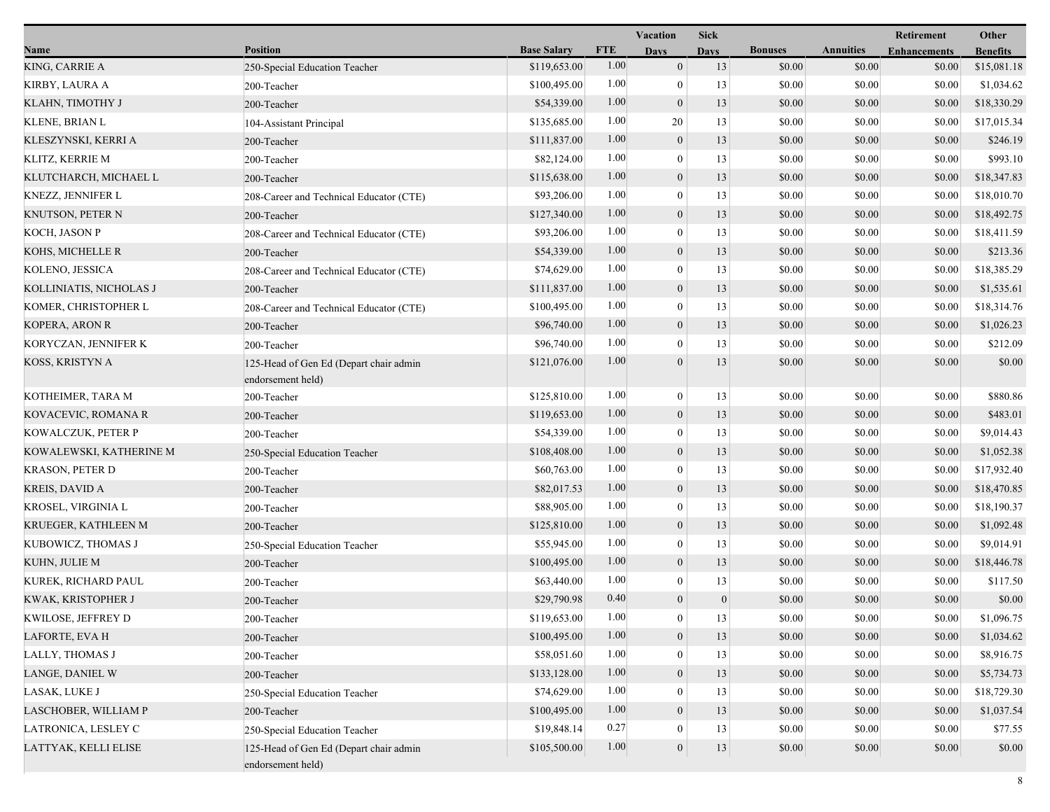|                         |                                                             |                    |            | Vacation         | <b>Sick</b>      |                |                  | Retirement          | Other           |
|-------------------------|-------------------------------------------------------------|--------------------|------------|------------------|------------------|----------------|------------------|---------------------|-----------------|
| Name                    | <b>Position</b>                                             | <b>Base Salary</b> | <b>FTE</b> | <b>Days</b>      | <b>Days</b>      | <b>Bonuses</b> | <b>Annuities</b> | <b>Enhancements</b> | <b>Benefits</b> |
| KING, CARRIE A          | 250-Special Education Teacher                               | \$119,653.00       | 1.00       | $\mathbf{0}$     | 13               | \$0.00         | \$0.00           | \$0.00              | \$15,081.18     |
| KIRBY, LAURA A          | 200-Teacher                                                 | \$100,495.00       | 1.00       | $\mathbf{0}$     | 13               | \$0.00         | \$0.00           | \$0.00              | \$1,034.62      |
| KLAHN, TIMOTHY J        | 200-Teacher                                                 | \$54,339.00        | 1.00       | $\boldsymbol{0}$ | 13               | \$0.00         | \$0.00           | \$0.00              | \$18,330.29     |
| KLENE, BRIAN L          | 104-Assistant Principal                                     | \$135,685.00       | 1.00       | 20               | 13               | \$0.00         | \$0.00           | \$0.00              | \$17,015.34     |
| KLESZYNSKI, KERRI A     | 200-Teacher                                                 | \$111,837.00       | 1.00       | $\mathbf{0}$     | 13               | \$0.00         | \$0.00           | \$0.00              | \$246.19        |
| KLITZ, KERRIE M         | 200-Teacher                                                 | \$82,124.00        | 1.00       | $\mathbf{0}$     | 13               | \$0.00         | \$0.00           | \$0.00              | \$993.10        |
| KLUTCHARCH, MICHAEL L   | 200-Teacher                                                 | \$115,638.00       | 1.00       | $\mathbf{0}$     | 13               | \$0.00         | \$0.00           | \$0.00              | \$18,347.83     |
| KNEZZ, JENNIFER L       | 208-Career and Technical Educator (CTE)                     | \$93,206.00        | 1.00       | $\mathbf{0}$     | 13               | \$0.00         | \$0.00           | \$0.00              | \$18,010.70     |
| KNUTSON, PETER N        | 200-Teacher                                                 | \$127,340.00       | 1.00       | $\boldsymbol{0}$ | 13               | \$0.00         | \$0.00           | \$0.00              | \$18,492.75     |
| KOCH, JASON P           | 208-Career and Technical Educator (CTE)                     | \$93,206.00        | 1.00       | $\mathbf{0}$     | 13               | \$0.00         | \$0.00           | \$0.00              | \$18,411.59     |
| KOHS, MICHELLE R        | 200-Teacher                                                 | \$54,339.00        | 1.00       | $\mathbf{0}$     | 13               | \$0.00         | \$0.00           | \$0.00              | \$213.36        |
| KOLENO, JESSICA         | 208-Career and Technical Educator (CTE)                     | \$74,629.00        | 1.00       | $\mathbf{0}$     | 13               | \$0.00         | \$0.00           | \$0.00              | \$18,385.29     |
| KOLLINIATIS, NICHOLAS J | 200-Teacher                                                 | \$111,837.00       | 1.00       | $\mathbf{0}$     | 13               | \$0.00         | \$0.00           | \$0.00              | \$1,535.61      |
| KOMER, CHRISTOPHER L    | 208-Career and Technical Educator (CTE)                     | \$100,495.00       | 1.00       | $\theta$         | 13               | \$0.00         | \$0.00           | \$0.00              | \$18,314.76     |
| KOPERA, ARON R          | 200-Teacher                                                 | \$96,740.00        | 1.00       | $\boldsymbol{0}$ | 13               | \$0.00         | \$0.00           | \$0.00              | \$1,026.23      |
| KORYCZAN, JENNIFER K    | 200-Teacher                                                 | \$96,740.00        | 1.00       | $\mathbf{0}$     | 13               | \$0.00         | \$0.00           | \$0.00              | \$212.09        |
| KOSS, KRISTYN A         | 125-Head of Gen Ed (Depart chair admin<br>endorsement held) | \$121,076.00       | 1.00       | $\Omega$         | 13               | \$0.00         | \$0.00           | \$0.00              | \$0.00          |
| KOTHEIMER, TARA M       | 200-Teacher                                                 | \$125,810.00       | 1.00       | $\boldsymbol{0}$ | 13               | \$0.00         | \$0.00           | \$0.00              | \$880.86        |
| KOVACEVIC, ROMANA R     | 200-Teacher                                                 | \$119,653.00       | 1.00       | $\mathbf{0}$     | 13               | \$0.00         | \$0.00           | \$0.00              | \$483.01        |
| KOWALCZUK, PETER P      | 200-Teacher                                                 | \$54,339.00        | 1.00       | $\mathbf{0}$     | 13               | \$0.00         | \$0.00           | \$0.00              | \$9,014.43      |
| KOWALEWSKI, KATHERINE M | 250-Special Education Teacher                               | \$108,408.00       | 1.00       | $\mathbf{0}$     | 13               | \$0.00         | \$0.00           | \$0.00              | \$1,052.38      |
| KRASON, PETER D         | 200-Teacher                                                 | \$60,763.00        | 1.00       | $\theta$         | 13               | \$0.00         | \$0.00           | \$0.00              | \$17,932.40     |
| KREIS, DAVID A          | 200-Teacher                                                 | \$82,017.53        | 1.00       | $\boldsymbol{0}$ | 13               | \$0.00         | \$0.00           | \$0.00              | \$18,470.85     |
| KROSEL, VIRGINIA L      | 200-Teacher                                                 | \$88,905.00        | 1.00       | $\mathbf{0}$     | 13               | \$0.00         | \$0.00           | \$0.00              | \$18,190.37     |
| KRUEGER, KATHLEEN M     | 200-Teacher                                                 | \$125,810.00       | 1.00       | $\mathbf{0}$     | 13               | \$0.00         | \$0.00           | \$0.00              | \$1,092.48      |
| KUBOWICZ, THOMAS J      | 250-Special Education Teacher                               | \$55,945.00        | 1.00       | $\mathbf{0}$     | 13               | \$0.00         | \$0.00           | \$0.00              | \$9,014.91      |
| KUHN, JULIE M           | 200-Teacher                                                 | \$100,495.00       | 1.00       | $\mathbf{0}$     | 13               | \$0.00         | \$0.00           | \$0.00              | \$18,446.78     |
| KUREK, RICHARD PAUL     | 200-Teacher                                                 | \$63,440.00        | 1.00       | $\boldsymbol{0}$ | 13               | \$0.00         | \$0.00           | \$0.00              | \$117.50        |
| KWAK, KRISTOPHER J      | 200-Teacher                                                 | \$29,790.98        | 0.40       | $\mathbf{0}$     | $\boldsymbol{0}$ | \$0.00         | \$0.00           | \$0.00              | \$0.00          |
| KWILOSE, JEFFREY D      | 200-Teacher                                                 | \$119,653.00       | 1.00       | $\boldsymbol{0}$ | 13               | $\$0.00$       | $\$0.00$         | $\$0.00$            | \$1,096.75      |
| LAFORTE, EVA H          | 200-Teacher                                                 | \$100,495.00       | 1.00       | $\mathbf{0}$     | 13               | \$0.00         | \$0.00           | \$0.00              | \$1,034.62      |
| LALLY, THOMAS J         | 200-Teacher                                                 | \$58,051.60        | 1.00       | $\Omega$         | 13               | \$0.00         | \$0.00           | \$0.00              | \$8,916.75      |
| LANGE, DANIEL W         | 200-Teacher                                                 | \$133,128.00       | 1.00       | $\mathbf{0}$     | 13               | \$0.00         | \$0.00           | \$0.00              | \$5,734.73      |
| LASAK, LUKE J           | 250-Special Education Teacher                               | \$74,629.00        | 1.00       | $\Omega$         | 13               | \$0.00         | \$0.00           | \$0.00              | \$18,729.30     |
| LASCHOBER, WILLIAM P    | 200-Teacher                                                 | \$100,495.00       | 1.00       | $\mathbf{0}$     | 13               | \$0.00         | \$0.00           | \$0.00              | \$1,037.54      |
| LATRONICA, LESLEY C     | 250-Special Education Teacher                               | \$19,848.14        | 0.27       | $\Omega$         | 13               | \$0.00         | \$0.00           | \$0.00              | \$77.55         |
| LATTYAK, KELLI ELISE    | 125-Head of Gen Ed (Depart chair admin<br>endorsement held) | \$105,500.00       | 1.00       | $\boldsymbol{0}$ | 13               | \$0.00         | \$0.00           | \$0.00              | \$0.00          |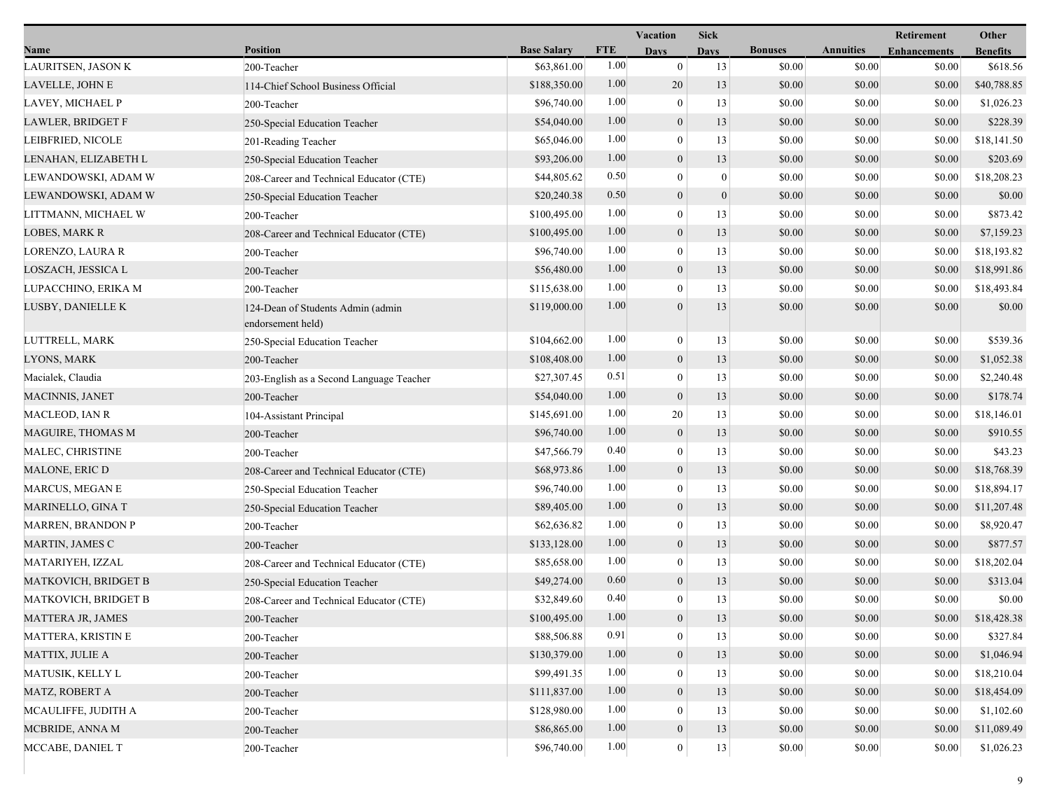|                           |                                                        |                    |            | <b>Vacation</b>  | <b>Sick</b>  |                |                  | Retirement          | Other           |
|---------------------------|--------------------------------------------------------|--------------------|------------|------------------|--------------|----------------|------------------|---------------------|-----------------|
| Name                      | <b>Position</b>                                        | <b>Base Salary</b> | <b>FTE</b> | <b>Days</b>      | <b>Days</b>  | <b>Bonuses</b> | <b>Annuities</b> | <b>Enhancements</b> | <b>Benefits</b> |
| LAURITSEN, JASON K        | 200-Teacher                                            | \$63,861.00        | 1.00       | $\bf{0}$         | 13           | \$0.00         | \$0.00           | \$0.00              | \$618.56        |
| LAVELLE, JOHN E           | 114-Chief School Business Official                     | \$188,350.00       | 1.00       | 20               | 13           | \$0.00         | \$0.00           | \$0.00              | \$40,788.85     |
| LAVEY, MICHAEL P          | 200-Teacher                                            | \$96,740.00        | 1.00       | $\boldsymbol{0}$ | 13           | \$0.00         | \$0.00           | \$0.00              | \$1,026.23      |
| <b>LAWLER, BRIDGET F</b>  | 250-Special Education Teacher                          | \$54,040.00        | 1.00       | $\boldsymbol{0}$ | 13           | \$0.00         | \$0.00           | \$0.00              | \$228.39        |
| LEIBFRIED, NICOLE         | 201-Reading Teacher                                    | \$65,046.00        | 1.00       | $\boldsymbol{0}$ | 13           | \$0.00         | \$0.00           | \$0.00              | \$18,141.50     |
| LENAHAN, ELIZABETH L      | 250-Special Education Teacher                          | \$93,206.00        | 1.00       | $\boldsymbol{0}$ | 13           | \$0.00         | \$0.00           | \$0.00              | \$203.69        |
| LEWANDOWSKI, ADAM W       | 208-Career and Technical Educator (CTE)                | \$44,805.62        | 0.50       | $\mathbf{0}$     | $\bf{0}$     | \$0.00         | \$0.00           | \$0.00              | \$18,208.23     |
| LEWANDOWSKI, ADAM W       | 250-Special Education Teacher                          | \$20,240.38        | 0.50       | $\boldsymbol{0}$ | $\mathbf{0}$ | \$0.00         | \$0.00           | \$0.00              | \$0.00          |
| LITTMANN, MICHAEL W       | 200-Teacher                                            | \$100,495.00       | 1.00       | $\overline{0}$   | 13           | \$0.00         | \$0.00           | \$0.00              | \$873.42        |
| LOBES, MARK R             | 208-Career and Technical Educator (CTE)                | \$100,495.00       | 1.00       | $\boldsymbol{0}$ | 13           | \$0.00         | \$0.00           | \$0.00              | \$7,159.23      |
| LORENZO, LAURA R          | 200-Teacher                                            | \$96,740.00        | 1.00       | $\boldsymbol{0}$ | 13           | \$0.00         | \$0.00           | \$0.00              | \$18,193.82     |
| LOSZACH, JESSICA L        | 200-Teacher                                            | \$56,480.00        | 1.00       | $\boldsymbol{0}$ | 13           | \$0.00         | \$0.00           | \$0.00              | \$18,991.86     |
| LUPACCHINO, ERIKA M       | 200-Teacher                                            | \$115,638.00       | 1.00       | $\mathbf{0}$     | 13           | \$0.00         | \$0.00           | \$0.00              | \$18,493.84     |
| LUSBY, DANIELLE K         | 124-Dean of Students Admin (admin<br>endorsement held) | \$119,000.00       | 1.00       | $\mathbf{0}$     | 13           | \$0.00         | \$0.00           | \$0.00              | \$0.00          |
| LUTTRELL, MARK            | 250-Special Education Teacher                          | \$104,662.00       | 1.00       | $\boldsymbol{0}$ | 13           | \$0.00         | \$0.00           | \$0.00              | \$539.36        |
| LYONS, MARK               | 200-Teacher                                            | \$108,408.00       | 1.00       | $\boldsymbol{0}$ | 13           | \$0.00         | \$0.00           | \$0.00              | \$1,052.38      |
| Macialek, Claudia         | 203-English as a Second Language Teacher               | \$27,307.45        | 0.51       | $\boldsymbol{0}$ | 13           | \$0.00         | \$0.00           | \$0.00              | \$2,240.48      |
| <b>MACINNIS, JANET</b>    | 200-Teacher                                            | \$54,040.00        | 1.00       | $\boldsymbol{0}$ | 13           | \$0.00         | \$0.00           | \$0.00              | \$178.74        |
| MACLEOD, IAN R            | 104-Assistant Principal                                | \$145,691.00       | 1.00       | 20               | 13           | \$0.00         | \$0.00           | \$0.00              | \$18,146.01     |
| MAGUIRE, THOMAS M         | 200-Teacher                                            | \$96,740.00        | 1.00       | $\boldsymbol{0}$ | 13           | \$0.00         | \$0.00           | \$0.00              | \$910.55        |
| MALEC, CHRISTINE          | 200-Teacher                                            | \$47,566.79        | 0.40       | $\boldsymbol{0}$ | 13           | \$0.00         | \$0.00           | \$0.00              | \$43.23         |
| MALONE, ERIC D            | 208-Career and Technical Educator (CTE)                | \$68,973.86        | 1.00       | $\boldsymbol{0}$ | 13           | \$0.00         | \$0.00           | \$0.00              | \$18,768.39     |
| MARCUS, MEGAN E           | 250-Special Education Teacher                          | \$96,740.00        | 1.00       | $\mathbf{0}$     | 13           | \$0.00         | \$0.00           | \$0.00              | \$18,894.17     |
| MARINELLO, GINA T         | 250-Special Education Teacher                          | \$89,405.00        | 1.00       | $\boldsymbol{0}$ | 13           | \$0.00         | \$0.00           | \$0.00              | \$11,207.48     |
| <b>MARREN, BRANDON P</b>  | 200-Teacher                                            | \$62,636.82        | 1.00       | $\boldsymbol{0}$ | 13           | \$0.00         | \$0.00           | \$0.00              | \$8,920.47      |
| MARTIN, JAMES C           | 200-Teacher                                            | \$133,128.00       | 1.00       | $\mathbf{0}$     | 13           | \$0.00         | \$0.00           | \$0.00              | \$877.57        |
| MATARIYEH, IZZAL          | 208-Career and Technical Educator (CTE)                | \$85,658.00        | 1.00       | $\boldsymbol{0}$ | 13           | \$0.00         | \$0.00           | \$0.00              | \$18,202.04     |
| MATKOVICH, BRIDGET B      | 250-Special Education Teacher                          | \$49,274.00        | 0.60       | $\boldsymbol{0}$ | 13           | \$0.00         | \$0.00           | \$0.00              | \$313.04        |
| MATKOVICH, BRIDGET B      | 208-Career and Technical Educator (CTE)                | \$32,849.60        | 0.40       | $\mathbf{0}$     | 13           | \$0.00         | \$0.00           | \$0.00              | \$0.00          |
| <b>MATTERA JR, JAMES</b>  | 200-Teacher                                            | \$100,495.00       | 1.00       | $\mathbf{0}$     | 13           | \$0.00         | \$0.00           | \$0.00              | \$18,428.38     |
| <b>MATTERA, KRISTIN E</b> | 200-Teacher                                            | \$88,506.88        | 0.91       | $\boldsymbol{0}$ | 13           | \$0.00         | \$0.00           | \$0.00              | \$327.84        |
| MATTIX, JULIE A           | 200-Teacher                                            | \$130,379.00       | 1.00       | $\boldsymbol{0}$ | 13           | \$0.00         | \$0.00           | \$0.00              | \$1,046.94      |
| MATUSIK, KELLY L          | 200-Teacher                                            | \$99,491.35        | 1.00       | $\boldsymbol{0}$ | 13           | \$0.00         | \$0.00           | \$0.00              | \$18,210.04     |
| MATZ, ROBERT A            | 200-Teacher                                            | \$111,837.00       | 1.00       | $\boldsymbol{0}$ | 13           | \$0.00         | \$0.00           | \$0.00              | \$18,454.09     |
| MCAULIFFE, JUDITH A       | 200-Teacher                                            | \$128,980.00       | 1.00       | $\boldsymbol{0}$ | 13           | \$0.00         | \$0.00           | \$0.00              | \$1,102.60      |
| MCBRIDE, ANNA M           | 200-Teacher                                            | \$86,865.00        | 1.00       | $\boldsymbol{0}$ | 13           | \$0.00         | \$0.00           | \$0.00              | \$11,089.49     |
| MCCABE, DANIEL T          | 200-Teacher                                            | \$96,740.00        | 1.00       | $\mathbf{0}$     | 13           | \$0.00         | \$0.00           | \$0.00              | \$1,026.23      |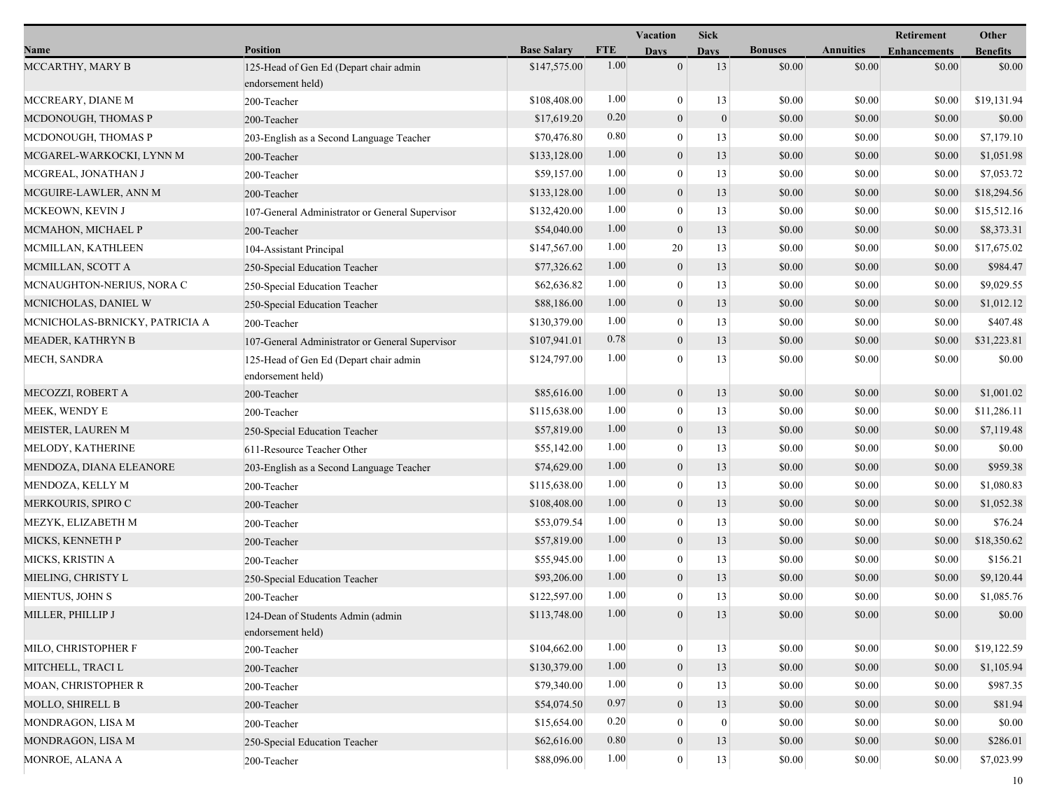|                                |                                                             |                    |            | Vacation         | <b>Sick</b>      |                |                  | Retirement          | Other           |
|--------------------------------|-------------------------------------------------------------|--------------------|------------|------------------|------------------|----------------|------------------|---------------------|-----------------|
| Name                           | <b>Position</b>                                             | <b>Base Salary</b> | <b>FTE</b> | <b>Days</b>      | <b>Days</b>      | <b>Bonuses</b> | <b>Annuities</b> | <b>Enhancements</b> | <b>Benefits</b> |
| MCCARTHY, MARY B               | 125-Head of Gen Ed (Depart chair admin<br>endorsement held) | \$147,575.00       | 1.00       | $\overline{0}$   | 13               | \$0.00         | \$0.00           | \$0.00              | \$0.00          |
| MCCREARY, DIANE M              | 200-Teacher                                                 | \$108,408.00       | 1.00       | $\boldsymbol{0}$ | 13               | \$0.00         | \$0.00           | \$0.00              | \$19,131.94     |
| MCDONOUGH, THOMAS P            | 200-Teacher                                                 | \$17,619.20        | 0.20       | $\mathbf{0}$     | $\mathbf{0}$     | \$0.00         | \$0.00           | \$0.00              | \$0.00          |
| MCDONOUGH, THOMAS P            | 203-English as a Second Language Teacher                    | \$70,476.80        | 0.80       | $\mathbf{0}$     | 13               | \$0.00         | \$0.00           | \$0.00              | \$7,179.10      |
| MCGAREL-WARKOCKI, LYNN M       | 200-Teacher                                                 | \$133,128.00       | 1.00       | $\mathbf{0}$     | 13               | \$0.00         | \$0.00           | \$0.00              | \$1,051.98      |
| MCGREAL, JONATHAN J            | 200-Teacher                                                 | \$59,157.00        | 1.00       | $\mathbf{0}$     | 13               | \$0.00         | \$0.00           | \$0.00              | \$7,053.72      |
| MCGUIRE-LAWLER, ANN M          | 200-Teacher                                                 | \$133,128.00       | 1.00       | $\mathbf{0}$     | 13               | \$0.00         | \$0.00           | \$0.00              | \$18,294.56     |
| MCKEOWN, KEVIN J               | 107-General Administrator or General Supervisor             | \$132,420.00       | 1.00       | $\theta$         | 13               | \$0.00         | \$0.00           | \$0.00              | \$15,512.16     |
| MCMAHON, MICHAEL P             | 200-Teacher                                                 | \$54,040.00        | 1.00       | $\mathbf{0}$     | 13               | \$0.00         | \$0.00           | \$0.00              | \$8,373.31      |
| MCMILLAN, KATHLEEN             | 104-Assistant Principal                                     | \$147,567.00       | 1.00       | 20               | 13               | \$0.00         | \$0.00           | \$0.00              | \$17,675.02     |
| MCMILLAN, SCOTT A              | 250-Special Education Teacher                               | \$77,326.62        | 1.00       | $\mathbf{0}$     | 13               | \$0.00         | \$0.00           | \$0.00              | \$984.47        |
| MCNAUGHTON-NERIUS, NORA C      | 250-Special Education Teacher                               | \$62,636.82        | 1.00       | $\mathbf{0}$     | 13               | \$0.00         | \$0.00           | \$0.00              | \$9,029.55      |
| MCNICHOLAS, DANIEL W           | 250-Special Education Teacher                               | \$88,186.00        | 1.00       | $\mathbf{0}$     | 13               | \$0.00         | \$0.00           | \$0.00              | \$1,012.12      |
| MCNICHOLAS-BRNICKY, PATRICIA A | 200-Teacher                                                 | \$130,379.00       | 1.00       | $\mathbf{0}$     | 13               | \$0.00         | \$0.00           | \$0.00              | \$407.48        |
| <b>MEADER, KATHRYN B</b>       | 107-General Administrator or General Supervisor             | \$107,941.01       | 0.78       | $\mathbf{0}$     | 13               | \$0.00         | \$0.00           | \$0.00              | \$31,223.81     |
| MECH, SANDRA                   | 125-Head of Gen Ed (Depart chair admin<br>endorsement held) | \$124,797.00       | 1.00       | $\Omega$         | 13               | \$0.00         | \$0.00           | \$0.00              | \$0.00          |
| MECOZZI, ROBERT A              | 200-Teacher                                                 | \$85,616.00        | 1.00       | $\mathbf{0}$     | 13               | \$0.00         | \$0.00           | \$0.00              | \$1,001.02      |
| MEEK, WENDY E                  | 200-Teacher                                                 | \$115,638.00       | 1.00       | $\mathbf{0}$     | 13               | \$0.00         | \$0.00           | \$0.00              | \$11,286.11     |
| MEISTER, LAUREN M              | 250-Special Education Teacher                               | \$57,819.00        | 1.00       | $\boldsymbol{0}$ | 13               | \$0.00         | \$0.00           | \$0.00              | \$7,119.48      |
| MELODY, KATHERINE              | 611-Resource Teacher Other                                  | \$55,142.00        | 1.00       | $\mathbf{0}$     | 13               | \$0.00         | \$0.00           | \$0.00              | \$0.00          |
| MENDOZA, DIANA ELEANORE        | 203-English as a Second Language Teacher                    | \$74,629.00        | 1.00       | $\mathbf{0}$     | 13               | \$0.00         | \$0.00           | \$0.00              | \$959.38        |
| MENDOZA, KELLY M               | 200-Teacher                                                 | \$115,638.00       | 1.00       | $\boldsymbol{0}$ | 13               | \$0.00         | \$0.00           | \$0.00              | \$1,080.83      |
| MERKOURIS, SPIRO C             | 200-Teacher                                                 | \$108,408.00       | 1.00       | $\mathbf{0}$     | 13               | \$0.00         | \$0.00           | \$0.00              | \$1,052.38      |
| MEZYK, ELIZABETH M             | 200-Teacher                                                 | \$53,079.54        | 1.00       | $\mathbf{0}$     | 13               | \$0.00         | \$0.00           | \$0.00              | \$76.24         |
| MICKS, KENNETH P               | 200-Teacher                                                 | \$57,819.00        | 1.00       | $\boldsymbol{0}$ | 13               | \$0.00         | \$0.00           | \$0.00              | \$18,350.62     |
| MICKS, KRISTIN A               | 200-Teacher                                                 | \$55,945.00        | 1.00       | $\mathbf{0}$     | 13               | \$0.00         | \$0.00           | \$0.00              | \$156.21        |
| MIELING, CHRISTY L             | 250-Special Education Teacher                               | \$93,206.00        | 1.00       | $\mathbf{0}$     | 13               | \$0.00         | \$0.00           | \$0.00              | \$9,120.44      |
| MIENTUS, JOHN S                | 200-Teacher                                                 | \$122,597.00       | 1.00       | $\mathbf{0}$     | 13               | \$0.00         | \$0.00           | \$0.00              | \$1,085.76      |
| MILLER, PHILLIP J              | 124-Dean of Students Admin (admin)<br>endorsement held)     | \$113,748.00       | 1.00       | $\theta$         | 13               | \$0.00         | \$0.00           | \$0.00              | \$0.00          |
| MILO, CHRISTOPHER F            | 200-Teacher                                                 | \$104,662.00       | 1.00       | $\boldsymbol{0}$ | 13               | \$0.00         | \$0.00           | \$0.00              | \$19,122.59     |
| MITCHELL, TRACI L              | 200-Teacher                                                 | \$130,379.00       | 1.00       | $\mathbf{0}$     | 13               | \$0.00         | \$0.00           | \$0.00              | \$1,105.94      |
| MOAN, CHRISTOPHER R            | 200-Teacher                                                 | \$79,340.00        | 1.00       | $\mathbf{0}$     | 13               | \$0.00         | \$0.00           | \$0.00              | \$987.35        |
| <b>MOLLO, SHIRELL B</b>        | 200-Teacher                                                 | \$54,074.50        | 0.97       | $\mathbf{0}$     | 13               | \$0.00         | \$0.00           | \$0.00              | \$81.94         |
| MONDRAGON, LISA M              | 200-Teacher                                                 | \$15,654.00        | 0.20       | $\mathbf{0}$     | $\boldsymbol{0}$ | \$0.00         | \$0.00           | \$0.00              | \$0.00          |
| MONDRAGON, LISA M              | 250-Special Education Teacher                               | \$62,616.00        | 0.80       | $\boldsymbol{0}$ | 13               | \$0.00         | \$0.00           | \$0.00              | \$286.01        |
| MONROE, ALANA A                | 200-Teacher                                                 | \$88,096.00        | 1.00       | $\mathbf{0}$     | 13               | \$0.00         | \$0.00           | \$0.00              | \$7,023.99      |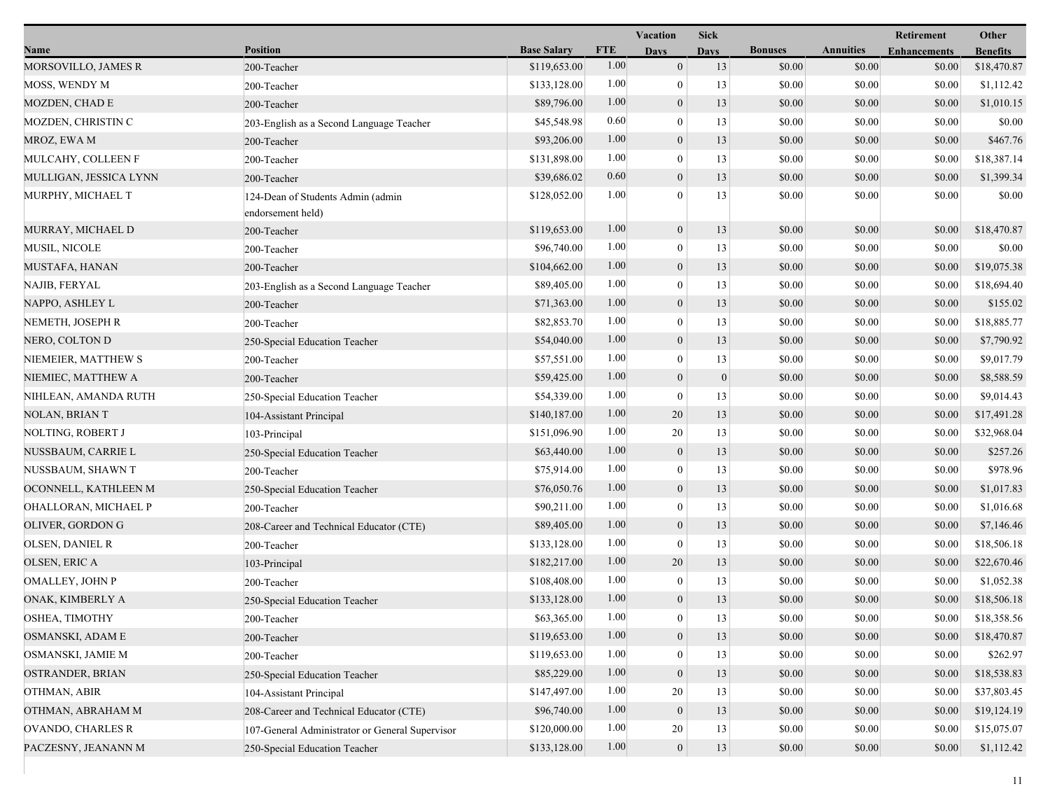|                        |                                                        |                    |            | <b>Vacation</b>  | <b>Sick</b>      |                |                  | Retirement          | Other           |
|------------------------|--------------------------------------------------------|--------------------|------------|------------------|------------------|----------------|------------------|---------------------|-----------------|
| Name                   | <b>Position</b>                                        | <b>Base Salary</b> | <b>FTE</b> | Days             | <b>Days</b>      | <b>Bonuses</b> | <b>Annuities</b> | <b>Enhancements</b> | <b>Benefits</b> |
| MORSOVILLO, JAMES R    | 200-Teacher                                            | \$119,653.00       | 1.00       | $\boldsymbol{0}$ | 13               | \$0.00         | \$0.00           | \$0.00              | \$18,470.87     |
| MOSS, WENDY M          | 200-Teacher                                            | \$133,128.00       | 1.00       | $\boldsymbol{0}$ | 13               | \$0.00         | \$0.00           | \$0.00              | \$1,112.42      |
| MOZDEN, CHAD E         | 200-Teacher                                            | \$89,796.00        | 1.00       | $\boldsymbol{0}$ | 13               | \$0.00         | \$0.00           | \$0.00              | \$1,010.15      |
| MOZDEN, CHRISTIN C     | 203-English as a Second Language Teacher               | \$45,548.98        | 0.60       | $\mathbf{0}$     | 13               | \$0.00         | \$0.00           | \$0.00              | \$0.00          |
| MROZ, EWA M            | 200-Teacher                                            | \$93,206.00        | 1.00       | $\boldsymbol{0}$ | 13               | \$0.00         | \$0.00           | \$0.00              | \$467.76        |
| MULCAHY, COLLEEN F     | 200-Teacher                                            | \$131,898.00       | 1.00       | $\boldsymbol{0}$ | 13               | \$0.00         | \$0.00           | \$0.00              | \$18,387.14     |
| MULLIGAN, JESSICA LYNN | 200-Teacher                                            | \$39,686.02        | 0.60       | $\boldsymbol{0}$ | 13               | \$0.00         | \$0.00           | \$0.00              | \$1,399.34      |
| MURPHY, MICHAEL T      | 124-Dean of Students Admin (admin<br>endorsement held) | \$128,052.00       | 1.00       | $\overline{0}$   | 13               | \$0.00         | \$0.00           | \$0.00              | \$0.00          |
| MURRAY, MICHAEL D      | 200-Teacher                                            | \$119,653.00       | 1.00       | $\boldsymbol{0}$ | 13               | \$0.00         | \$0.00           | \$0.00              | \$18,470.87     |
| MUSIL, NICOLE          | 200-Teacher                                            | \$96,740.00        | 1.00       | $\boldsymbol{0}$ | 13               | \$0.00         | \$0.00           | \$0.00              | \$0.00          |
| MUSTAFA, HANAN         | 200-Teacher                                            | \$104,662.00       | 1.00       | $\boldsymbol{0}$ | 13               | \$0.00         | \$0.00           | \$0.00              | \$19,075.38     |
| NAJIB, FERYAL          | 203-English as a Second Language Teacher               | \$89,405.00        | 1.00       | $\boldsymbol{0}$ | 13               | \$0.00         | \$0.00           | \$0.00              | \$18,694.40     |
| NAPPO, ASHLEY L        | 200-Teacher                                            | \$71,363.00        | 1.00       | $\boldsymbol{0}$ | 13               | \$0.00         | \$0.00           | \$0.00              | \$155.02        |
| NEMETH, JOSEPH R       | 200-Teacher                                            | \$82,853.70        | 1.00       | $\boldsymbol{0}$ | 13               | \$0.00         | \$0.00           | \$0.00              | \$18,885.77     |
| NERO, COLTON D         | 250-Special Education Teacher                          | \$54,040.00        | 1.00       | $\boldsymbol{0}$ | 13               | \$0.00         | \$0.00           | \$0.00              | \$7,790.92      |
| NIEMEIER, MATTHEW S    | 200-Teacher                                            | \$57,551.00        | 1.00       | $\boldsymbol{0}$ | 13               | \$0.00         | \$0.00           | \$0.00              | \$9,017.79      |
| NIEMIEC, MATTHEW A     | 200-Teacher                                            | \$59,425.00        | 1.00       | $\boldsymbol{0}$ | $\boldsymbol{0}$ | \$0.00         | \$0.00           | \$0.00              | \$8,588.59      |
| NIHLEAN, AMANDA RUTH   | 250-Special Education Teacher                          | \$54,339.00        | 1.00       | $\boldsymbol{0}$ | 13               | \$0.00         | \$0.00           | \$0.00              | \$9,014.43      |
| NOLAN, BRIAN T         | 104-Assistant Principal                                | \$140,187.00       | 1.00       | 20               | 13               | \$0.00         | \$0.00           | \$0.00              | \$17,491.28     |
| NOLTING, ROBERT J      | 103-Principal                                          | \$151,096.90       | 1.00       | 20               | 13               | \$0.00         | \$0.00           | \$0.00              | \$32,968.04     |
| NUSSBAUM, CARRIE L     | 250-Special Education Teacher                          | \$63,440.00        | 1.00       | $\boldsymbol{0}$ | 13               | \$0.00         | \$0.00           | \$0.00              | \$257.26        |
| NUSSBAUM, SHAWN T      | 200-Teacher                                            | \$75,914.00        | 1.00       | $\boldsymbol{0}$ | 13               | \$0.00         | \$0.00           | \$0.00              | \$978.96        |
| OCONNELL, KATHLEEN M   | 250-Special Education Teacher                          | \$76,050.76        | 1.00       | $\boldsymbol{0}$ | 13               | \$0.00         | \$0.00           | \$0.00              | \$1,017.83      |
| OHALLORAN, MICHAEL P   | 200-Teacher                                            | \$90,211.00        | 1.00       | $\mathbf{0}$     | 13               | \$0.00         | \$0.00           | \$0.00              | \$1,016.68      |
| OLIVER, GORDON G       | 208-Career and Technical Educator (CTE)                | \$89,405.00        | 1.00       | $\boldsymbol{0}$ | 13               | \$0.00         | \$0.00           | \$0.00              | \$7,146.46      |
| OLSEN, DANIEL R        | 200-Teacher                                            | \$133,128.00       | 1.00       | $\mathbf{0}$     | 13               | \$0.00         | \$0.00           | \$0.00              | \$18,506.18     |
| OLSEN, ERIC A          | 103-Principal                                          | \$182,217.00       | 1.00       | 20               | 13               | \$0.00         | \$0.00           | \$0.00              | \$22,670.46     |
| OMALLEY, JOHN P        | 200-Teacher                                            | \$108,408.00       | 1.00       | $\boldsymbol{0}$ | 13               | \$0.00         | \$0.00           | \$0.00              | \$1,052.38      |
| ONAK, KIMBERLY A       | 250-Special Education Teacher                          | \$133,128.00       | 1.00       | $\boldsymbol{0}$ | 13               | \$0.00         | \$0.00           | \$0.00              | \$18,506.18     |
| OSHEA, TIMOTHY         | 200-Teacher                                            | \$63,365.00        | 1.00       | $\boldsymbol{0}$ | 13               | $\$0.00$       | $\$0.00$         | \$0.00              | \$18,358.56     |
| OSMANSKI, ADAM E       | 200-Teacher                                            | \$119,653.00       | 1.00       | $\boldsymbol{0}$ | 13               | \$0.00         | \$0.00           | \$0.00              | \$18,470.87     |
| OSMANSKI, JAMIE M      | 200-Teacher                                            | \$119,653.00       | 1.00       | $\mathbf{0}$     | 13               | \$0.00         | \$0.00           | \$0.00              | \$262.97        |
| OSTRANDER, BRIAN       | 250-Special Education Teacher                          | \$85,229.00        | 1.00       | $\boldsymbol{0}$ | 13               | \$0.00         | \$0.00           | \$0.00              | \$18,538.83     |
| OTHMAN, ABIR           | 104-Assistant Principal                                | \$147,497.00       | 1.00       | 20               | 13               | \$0.00         | \$0.00           | \$0.00              | \$37,803.45     |
| OTHMAN, ABRAHAM M      | 208-Career and Technical Educator (CTE)                | \$96,740.00        | 1.00       | $\mathbf{0}$     | 13               | \$0.00         | \$0.00           | \$0.00              | \$19,124.19     |
| OVANDO, CHARLES R      | 107-General Administrator or General Supervisor        | \$120,000.00       | 1.00       | 20               | 13               | \$0.00         | \$0.00           | \$0.00              | \$15,075.07     |
| PACZESNY, JEANANN M    | 250-Special Education Teacher                          | \$133,128.00       | 1.00       | $\boldsymbol{0}$ | 13               | \$0.00         | \$0.00           | \$0.00              | \$1,112.42      |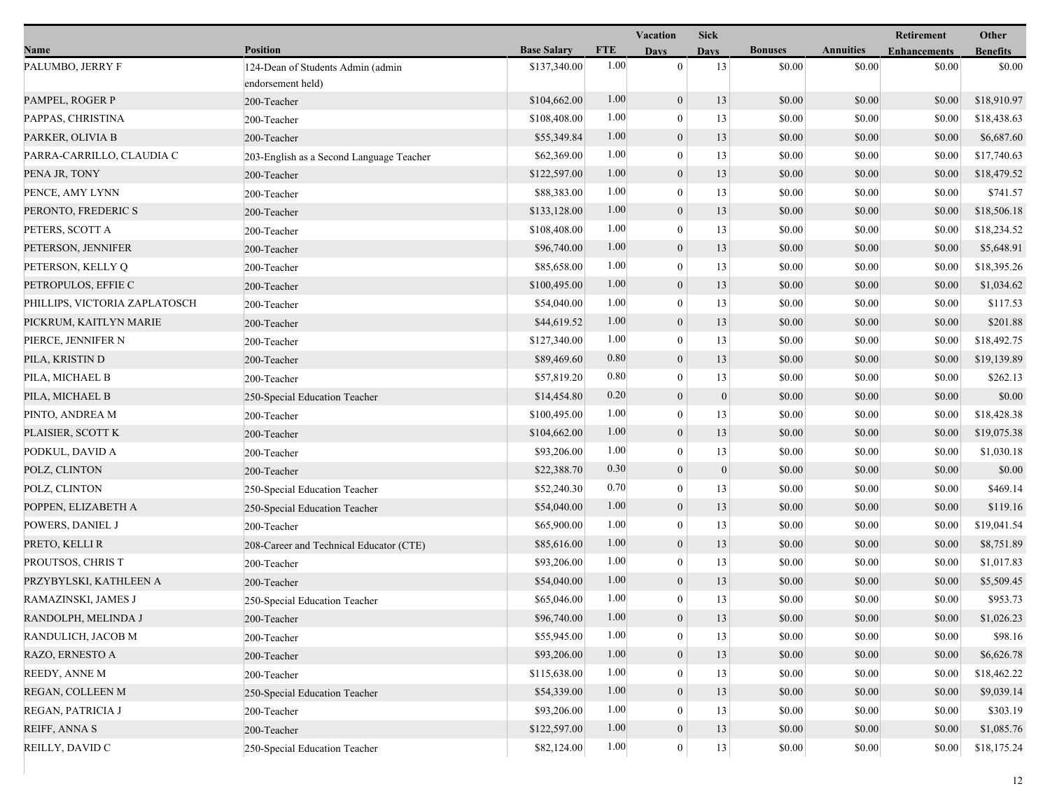|                               |                                                        |                    |            | Vacation         | <b>Sick</b>      |                |                  | Retirement          | Other           |
|-------------------------------|--------------------------------------------------------|--------------------|------------|------------------|------------------|----------------|------------------|---------------------|-----------------|
| Name                          | <b>Position</b>                                        | <b>Base Salary</b> | <b>FTE</b> | <b>Days</b>      | <b>Days</b>      | <b>Bonuses</b> | <b>Annuities</b> | <b>Enhancements</b> | <b>Benefits</b> |
| PALUMBO, JERRY F              | 124-Dean of Students Admin (admin<br>endorsement held) | \$137,340.00       | 1.00       | $\mathbf{0}$     | 13               | \$0.00         | \$0.00           | \$0.00              | \$0.00          |
| PAMPEL, ROGER P               | 200-Teacher                                            | \$104,662.00       | 1.00       | $\mathbf{0}$     | 13               | \$0.00         | \$0.00           | \$0.00              | \$18,910.97     |
| PAPPAS, CHRISTINA             | 200-Teacher                                            | \$108,408.00       | 1.00       | $\mathbf{0}$     | 13               | \$0.00         | \$0.00           | \$0.00              | \$18,438.63     |
| PARKER, OLIVIA B              | 200-Teacher                                            | \$55,349.84        | 1.00       | $\mathbf{0}$     | 13               | \$0.00         | \$0.00           | \$0.00              | \$6,687.60      |
| PARRA-CARRILLO, CLAUDIA C     | 203-English as a Second Language Teacher               | \$62,369.00        | 1.00       | 0                | 13               | \$0.00         | \$0.00           | \$0.00              | \$17,740.63     |
| PENA JR, TONY                 | 200-Teacher                                            | \$122,597.00       | 1.00       | $\boldsymbol{0}$ | 13               | \$0.00         | \$0.00           | \$0.00              | \$18,479.52     |
| PENCE, AMY LYNN               | 200-Teacher                                            | \$88,383.00        | 1.00       | $\mathbf{0}$     | 13               | \$0.00         | \$0.00           | \$0.00              | \$741.57        |
| PERONTO, FREDERIC S           | 200-Teacher                                            | \$133,128.00       | 1.00       | $\mathbf{0}$     | 13               | \$0.00         | \$0.00           | \$0.00              | \$18,506.18     |
| PETERS, SCOTT A               | 200-Teacher                                            | \$108,408.00       | 1.00       | $\mathbf{0}$     | 13               | \$0.00         | \$0.00           | \$0.00              | \$18,234.52     |
| PETERSON, JENNIFER            | 200-Teacher                                            | \$96,740.00        | 1.00       | $\boldsymbol{0}$ | 13               | \$0.00         | \$0.00           | \$0.00              | \$5,648.91      |
| PETERSON, KELLY Q             | 200-Teacher                                            | \$85,658.00        | 1.00       | 0                | 13               | \$0.00         | \$0.00           | \$0.00              | \$18,395.26     |
| PETROPULOS, EFFIE C           | 200-Teacher                                            | \$100,495.00       | 1.00       | $\overline{0}$   | 13               | \$0.00         | \$0.00           | \$0.00              | \$1,034.62      |
| PHILLIPS, VICTORIA ZAPLATOSCH | 200-Teacher                                            | \$54,040.00        | 1.00       | $\mathbf{0}$     | 13               | \$0.00         | \$0.00           | \$0.00              | \$117.53        |
| PICKRUM, KAITLYN MARIE        | 200-Teacher                                            | \$44,619.52        | 1.00       | $\mathbf{0}$     | 13               | \$0.00         | \$0.00           | \$0.00              | \$201.88        |
| PIERCE, JENNIFER N            | 200-Teacher                                            | \$127,340.00       | 1.00       | $\boldsymbol{0}$ | 13               | \$0.00         | \$0.00           | \$0.00              | \$18,492.75     |
| PILA, KRISTIN D               | 200-Teacher                                            | \$89,469.60        | 0.80       | $\boldsymbol{0}$ | 13               | \$0.00         | \$0.00           | \$0.00              | \$19,139.89     |
| PILA, MICHAEL B               | 200-Teacher                                            | \$57,819.20        | 0.80       | $\boldsymbol{0}$ | 13               | \$0.00         | \$0.00           | \$0.00              | \$262.13        |
| PILA, MICHAEL B               | 250-Special Education Teacher                          | \$14,454.80        | 0.20       | $\mathbf{0}$     | $\mathbf{0}$     | \$0.00         | \$0.00           | \$0.00              | \$0.00          |
| PINTO, ANDREA M               | 200-Teacher                                            | \$100,495.00       | 1.00       | $\mathbf{0}$     | 13               | \$0.00         | \$0.00           | \$0.00              | \$18,428.38     |
| PLAISIER, SCOTT K             | 200-Teacher                                            | \$104,662.00       | 1.00       | $\mathbf{0}$     | 13               | \$0.00         | \$0.00           | \$0.00              | \$19,075.38     |
| PODKUL, DAVID A               | 200-Teacher                                            | \$93,206.00        | 1.00       | $\boldsymbol{0}$ | 13               | \$0.00         | \$0.00           | \$0.00              | \$1,030.18      |
| POLZ, CLINTON                 | 200-Teacher                                            | \$22,388.70        | 0.30       | $\boldsymbol{0}$ | $\boldsymbol{0}$ | \$0.00         | \$0.00           | \$0.00              | \$0.00          |
| POLZ, CLINTON                 | 250-Special Education Teacher                          | \$52,240.30        | 0.70       | $\mathbf{0}$     | 13               | \$0.00         | \$0.00           | \$0.00              | \$469.14        |
| POPPEN, ELIZABETH A           | 250-Special Education Teacher                          | \$54,040.00        | 1.00       | $\mathbf{0}$     | 13               | \$0.00         | \$0.00           | \$0.00              | \$119.16        |
| POWERS, DANIEL J              | 200-Teacher                                            | \$65,900.00        | 1.00       | $\boldsymbol{0}$ | 13               | \$0.00         | \$0.00           | \$0.00              | \$19,041.54     |
| PRETO, KELLI R                | 208-Career and Technical Educator (CTE)                | \$85,616.00        | 1.00       | $\mathbf{0}$     | 13               | \$0.00         | \$0.00           | \$0.00              | \$8,751.89      |
| PROUTSOS, CHRIS T             | 200-Teacher                                            | \$93,206.00        | 1.00       | $\boldsymbol{0}$ | 13               | \$0.00         | \$0.00           | \$0.00              | \$1,017.83      |
| PRZYBYLSKI, KATHLEEN A        | 200-Teacher                                            | \$54,040.00        | 1.00       | $\mathbf{0}$     | 13               | \$0.00         | \$0.00           | \$0.00              | \$5,509.45      |
| RAMAZINSKI, JAMES J           | 250-Special Education Teacher                          | \$65,046.00        | 1.00       | $\mathbf{0}$     | 13               | \$0.00         | \$0.00           | \$0.00              | \$953.73        |
| RANDOLPH, MELINDA J           | 200-Teacher                                            | \$96,740.00        | 1.00       | $\mathbf{0}$     | 13               | \$0.00         | \$0.00           | \$0.00              | \$1,026.23      |
| RANDULICH, JACOB M            | 200-Teacher                                            | \$55,945.00        | 1.00       | $\boldsymbol{0}$ | 13               | \$0.00         | \$0.00           | \$0.00              | \$98.16         |
| RAZO, ERNESTO A               | 200-Teacher                                            | \$93,206.00        | 1.00       | $\mathbf{0}$     | 13               | \$0.00         | \$0.00           | \$0.00              | \$6,626.78      |
| REEDY, ANNE M                 | 200-Teacher                                            | \$115,638.00       | 1.00       | $\theta$         | 13               | \$0.00         | \$0.00           | \$0.00              | \$18,462.22     |
| REGAN, COLLEEN M              | 250-Special Education Teacher                          | \$54,339.00        | 1.00       | $\mathbf{0}$     | 13               | \$0.00         | \$0.00           | \$0.00              | \$9,039.14      |
| REGAN, PATRICIA J             | 200-Teacher                                            | \$93,206.00        | 1.00       | 0                | 13               | \$0.00         | \$0.00           | \$0.00              | \$303.19        |
| REIFF, ANNA S                 | 200-Teacher                                            | \$122,597.00       | 1.00       | $\boldsymbol{0}$ | 13               | \$0.00         | \$0.00           | \$0.00              | \$1,085.76      |
| REILLY, DAVID C               | 250-Special Education Teacher                          | \$82,124.00        | 1.00       | $\boldsymbol{0}$ | $13$             | \$0.00         | \$0.00           | \$0.00              | \$18,175.24     |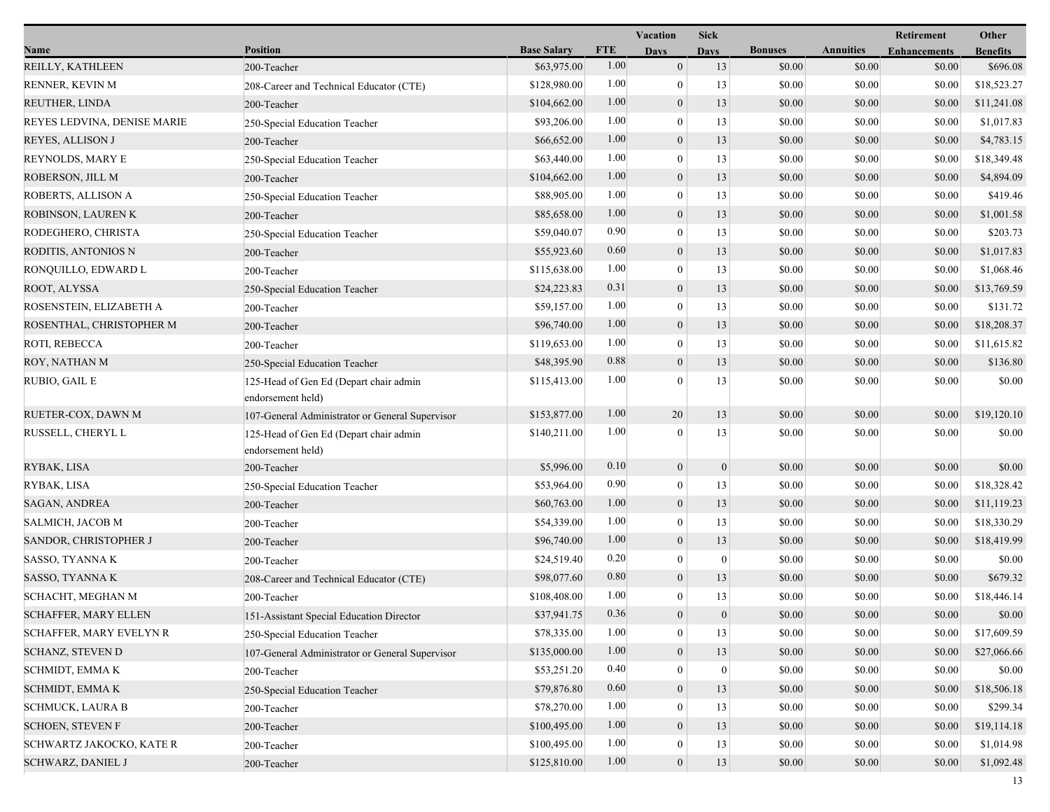|                             |                                                             |                    |            | <b>Vacation</b>  | <b>Sick</b>      |                |                  | Retirement          | Other           |
|-----------------------------|-------------------------------------------------------------|--------------------|------------|------------------|------------------|----------------|------------------|---------------------|-----------------|
| Name                        | <b>Position</b>                                             | <b>Base Salary</b> | <b>FTE</b> | <b>Days</b>      | <b>Days</b>      | <b>Bonuses</b> | <b>Annuities</b> | <b>Enhancements</b> | <b>Benefits</b> |
| REILLY, KATHLEEN            | 200-Teacher                                                 | \$63,975.00        | 1.00       | $\mathbf{0}$     | 13               | \$0.00         | \$0.00           | \$0.00              | \$696.08        |
| RENNER, KEVIN M             | 208-Career and Technical Educator (CTE)                     | \$128,980.00       | 1.00       | $\mathbf{0}$     | 13               | \$0.00         | \$0.00           | \$0.00              | \$18,523.27     |
| REUTHER, LINDA              | 200-Teacher                                                 | \$104,662.00       | 1.00       | $\mathbf{0}$     | 13               | \$0.00         | \$0.00           | \$0.00              | \$11,241.08     |
| REYES LEDVINA, DENISE MARIE | 250-Special Education Teacher                               | \$93,206.00        | 1.00       | $\mathbf{0}$     | 13               | \$0.00         | \$0.00           | \$0.00              | \$1,017.83      |
| REYES, ALLISON J            | 200-Teacher                                                 | \$66,652.00        | 1.00       | $\mathbf{0}$     | 13               | \$0.00         | \$0.00           | \$0.00              | \$4,783.15      |
| <b>REYNOLDS, MARY E</b>     | 250-Special Education Teacher                               | \$63,440.00        | 1.00       | $\overline{0}$   | 13               | \$0.00         | \$0.00           | \$0.00              | \$18,349.48     |
| ROBERSON, JILL M            | 200-Teacher                                                 | \$104,662.00       | 1.00       | $\theta$         | 13               | \$0.00         | \$0.00           | \$0.00              | \$4,894.09      |
| ROBERTS, ALLISON A          | 250-Special Education Teacher                               | \$88,905.00        | 1.00       | $\overline{0}$   | 13               | \$0.00         | \$0.00           | \$0.00              | \$419.46        |
| ROBINSON, LAUREN K          | 200-Teacher                                                 | \$85,658.00        | 1.00       | $\mathbf{0}$     | 13               | \$0.00         | \$0.00           | \$0.00              | \$1,001.58      |
| RODEGHERO, CHRISTA          | 250-Special Education Teacher                               | \$59,040.07        | 0.90       | $\theta$         | 13               | \$0.00         | \$0.00           | \$0.00              | \$203.73        |
| RODITIS, ANTONIOS N         | 200-Teacher                                                 | \$55,923.60        | 0.60       | $\mathbf{0}$     | 13               | \$0.00         | \$0.00           | \$0.00              | \$1,017.83      |
| RONQUILLO, EDWARD L         | 200-Teacher                                                 | \$115,638.00       | 1.00       | $\theta$         | 13               | \$0.00         | \$0.00           | \$0.00              | \$1,068.46      |
| ROOT, ALYSSA                | 250-Special Education Teacher                               | \$24,223.83        | 0.31       | $\theta$         | 13               | \$0.00         | \$0.00           | \$0.00              | \$13,769.59     |
| ROSENSTEIN, ELIZABETH A     | 200-Teacher                                                 | \$59,157.00        | 1.00       | $\overline{0}$   | 13               | \$0.00         | \$0.00           | \$0.00              | \$131.72        |
| ROSENTHAL, CHRISTOPHER M    | 200-Teacher                                                 | \$96,740.00        | 1.00       | $\mathbf{0}$     | 13               | \$0.00         | \$0.00           | \$0.00              | \$18,208.37     |
| ROTI, REBECCA               | 200-Teacher                                                 | \$119,653.00       | 1.00       | $\theta$         | 13               | \$0.00         | \$0.00           | \$0.00              | \$11,615.82     |
| ROY, NATHAN M               | 250-Special Education Teacher                               | \$48,395.90        | 0.88       | $\mathbf{0}$     | 13               | \$0.00         | \$0.00           | \$0.00              | \$136.80        |
| RUBIO, GAIL E               | 125-Head of Gen Ed (Depart chair admin<br>endorsement held) | \$115,413.00       | 1.00       | $\theta$         | 13               | \$0.00         | \$0.00           | \$0.00              | \$0.00          |
| RUETER-COX, DAWN M          | 107-General Administrator or General Supervisor             | \$153,877.00       | 1.00       | 20               | 13               | \$0.00         | \$0.00           | \$0.00              | \$19,120.10     |
| RUSSELL, CHERYL L           | 125-Head of Gen Ed (Depart chair admin<br>endorsement held) | \$140,211.00       | 1.00       | $\theta$         | 13               | \$0.00         | \$0.00           | \$0.00              | \$0.00          |
| RYBAK, LISA                 | 200-Teacher                                                 | \$5,996.00         | 0.10       | $\mathbf{0}$     | $\theta$         | \$0.00         | \$0.00           | \$0.00              | \$0.00          |
| RYBAK, LISA                 | 250-Special Education Teacher                               | \$53,964.00        | 0.90       | $\mathbf{0}$     | 13               | \$0.00         | \$0.00           | \$0.00              | \$18,328.42     |
| <b>SAGAN, ANDREA</b>        | 200-Teacher                                                 | \$60,763.00        | 1.00       | $\mathbf{0}$     | 13               | \$0.00         | \$0.00           | \$0.00              | \$11,119.23     |
| SALMICH, JACOB M            | 200-Teacher                                                 | \$54,339.00        | 1.00       | $\mathbf{0}$     | 13               | \$0.00         | \$0.00           | \$0.00              | \$18,330.29     |
| SANDOR, CHRISTOPHER J       | 200-Teacher                                                 | \$96,740.00        | 1.00       | $\mathbf{0}$     | 13               | \$0.00         | \$0.00           | \$0.00              | \$18,419.99     |
| SASSO, TYANNA K             | 200-Teacher                                                 | \$24,519.40        | 0.20       | $\mathbf{0}$     | $\mathbf{0}$     | \$0.00         | \$0.00           | \$0.00              | \$0.00          |
| <b>SASSO, TYANNA K</b>      | 208-Career and Technical Educator (CTE)                     | \$98,077.60        | 0.80       | $\mathbf{0}$     | 13               | \$0.00         | \$0.00           | \$0.00              | \$679.32        |
| SCHACHT, MEGHAN M           | 200-Teacher                                                 | \$108,408.00       | 1.00       | $\mathbf{0}$     | 13               | \$0.00         | \$0.00           | \$0.00              | \$18,446.14     |
| <b>SCHAFFER, MARY ELLEN</b> | 151-Assistant Special Education Director                    | \$37,941.75        | 0.36       | $\Omega$         | $\theta$         | \$0.00         | \$0.00           | \$0.00              | \$0.00          |
| SCHAFFER, MARY EVELYN R     | 250-Special Education Teacher                               | \$78,335.00        | 1.00       | $\mathbf{0}$     | 13               | \$0.00         | \$0.00           | \$0.00              | \$17,609.59     |
| <b>SCHANZ, STEVEN D</b>     | 107-General Administrator or General Supervisor             | \$135,000.00       | 1.00       | $\mathbf{0}$     | 13               | \$0.00         | \$0.00           | \$0.00              | \$27,066.66     |
| SCHMIDT, EMMA K             | 200-Teacher                                                 | \$53,251.20        | 0.40       | $\theta$         | $\boldsymbol{0}$ | \$0.00         | \$0.00           | \$0.00              | \$0.00          |
| <b>SCHMIDT, EMMA K</b>      | 250-Special Education Teacher                               | \$79,876.80        | 0.60       | $\mathbf{0}$     | 13               | \$0.00         | \$0.00           | \$0.00              | \$18,506.18     |
| <b>SCHMUCK, LAURA B</b>     | 200-Teacher                                                 | \$78,270.00        | 1.00       | $\Omega$         | 13               | \$0.00         | \$0.00           | \$0.00              | \$299.34        |
| <b>SCHOEN, STEVEN F</b>     | 200-Teacher                                                 | \$100,495.00       | 1.00       | $\theta$         | 13               | \$0.00         | \$0.00           | \$0.00              | \$19,114.18     |
| SCHWARTZ JAKOCKO, KATE R    | 200-Teacher                                                 | \$100,495.00       | 1.00       | $\boldsymbol{0}$ | 13               | \$0.00         | \$0.00           | \$0.00              | \$1,014.98      |
| SCHWARZ, DANIEL J           | 200-Teacher                                                 | \$125,810.00       | 1.00       | $\boldsymbol{0}$ | 13               | \$0.00         | \$0.00           | \$0.00              | \$1,092.48      |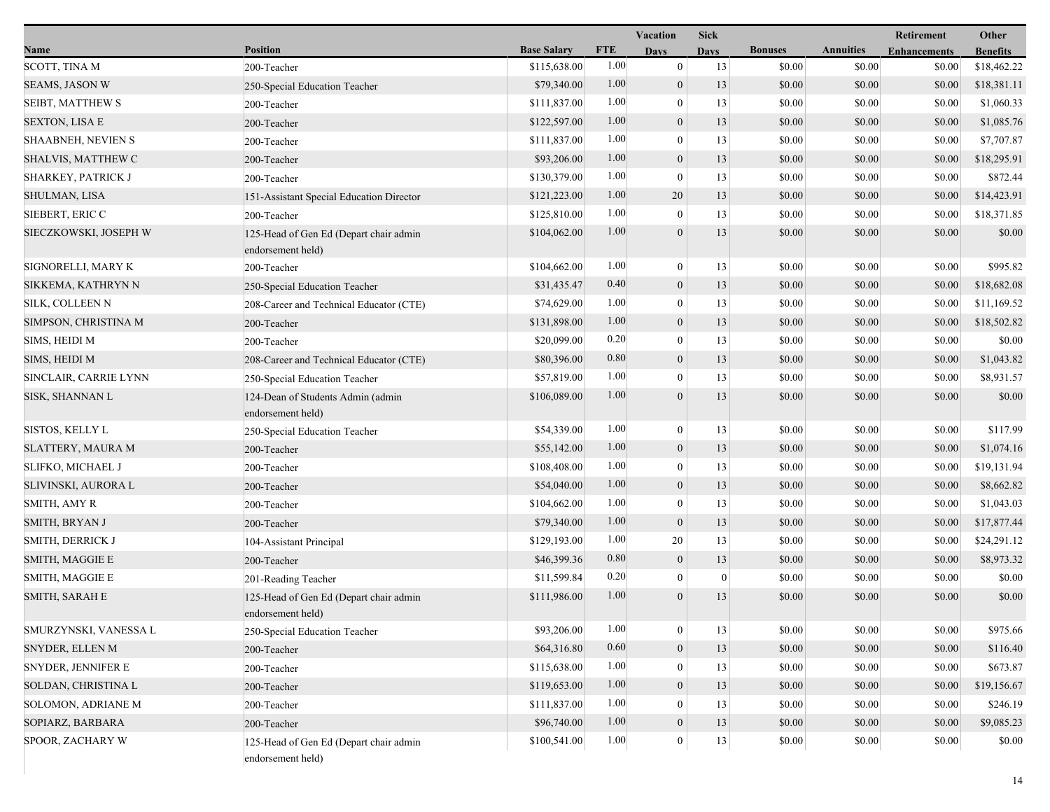|                           |                                                             |                    | <b>Sick</b><br><b>Vacation</b><br>Retirement |                  |             |                |                  |                     | Other           |  |
|---------------------------|-------------------------------------------------------------|--------------------|----------------------------------------------|------------------|-------------|----------------|------------------|---------------------|-----------------|--|
| Name                      | <b>Position</b>                                             | <b>Base Salary</b> | <b>FTE</b>                                   | <b>Days</b>      | <b>Davs</b> | <b>Bonuses</b> | <b>Annuities</b> | <b>Enhancements</b> | <b>Benefits</b> |  |
| <b>SCOTT, TINA M</b>      | 200-Teacher                                                 | \$115,638.00       | 1.00                                         | $\overline{0}$   | 13          | \$0.00         | \$0.00           | \$0.00              | \$18,462.22     |  |
| SEAMS, JASON W            | 250-Special Education Teacher                               | \$79,340.00        | 1.00                                         | $\mathbf{0}$     | 13          | \$0.00         | \$0.00           | \$0.00              | \$18,381.11     |  |
| SEIBT, MATTHEW S          | 200-Teacher                                                 | \$111,837.00       | 1.00                                         | $\bf{0}$         | 13          | \$0.00         | \$0.00           | \$0.00              | \$1,060.33      |  |
| <b>SEXTON, LISA E</b>     | 200-Teacher                                                 | \$122,597.00       | 1.00                                         | $\mathbf{0}$     | 13          | \$0.00         | \$0.00           | \$0.00              | \$1,085.76      |  |
| <b>SHAABNEH, NEVIEN S</b> | 200-Teacher                                                 | \$111,837.00       | 1.00                                         | $\mathbf{0}$     | 13          | \$0.00         | \$0.00           | \$0.00              | \$7,707.87      |  |
| SHALVIS, MATTHEW C        | 200-Teacher                                                 | \$93,206.00        | 1.00                                         | $\mathbf{0}$     | 13          | \$0.00         | \$0.00           | \$0.00              | \$18,295.91     |  |
| SHARKEY, PATRICK J        | 200-Teacher                                                 | \$130,379.00       | 1.00                                         | $\overline{0}$   | 13          | \$0.00         | \$0.00           | \$0.00              | \$872.44        |  |
| SHULMAN, LISA             | 151-Assistant Special Education Director                    | \$121,223.00       | 1.00                                         | 20               | 13          | \$0.00         | \$0.00           | \$0.00              | \$14,423.91     |  |
| SIEBERT, ERIC C           | 200-Teacher                                                 | \$125,810.00       | 1.00                                         | $\overline{0}$   | 13          | \$0.00         | \$0.00           | \$0.00              | \$18,371.85     |  |
| SIECZKOWSKI, JOSEPH W     | 125-Head of Gen Ed (Depart chair admin<br>endorsement held) | \$104,062.00       | 1.00                                         | $\mathbf{0}$     | 13          | \$0.00         | \$0.00           | \$0.00              | \$0.00          |  |
| SIGNORELLI, MARY K        | 200-Teacher                                                 | \$104,662.00       | 1.00                                         | $\bf{0}$         | 13          | \$0.00         | \$0.00           | \$0.00              | \$995.82        |  |
| SIKKEMA, KATHRYN N        | 250-Special Education Teacher                               | \$31,435.47        | 0.40                                         | $\mathbf{0}$     | 13          | \$0.00         | \$0.00           | \$0.00              | \$18,682.08     |  |
| <b>SILK, COLLEEN N</b>    | 208-Career and Technical Educator (CTE)                     | \$74,629.00        | 1.00                                         | $\overline{0}$   | 13          | \$0.00         | \$0.00           | \$0.00              | \$11,169.52     |  |
| SIMPSON, CHRISTINA M      | 200-Teacher                                                 | \$131,898.00       | 1.00                                         | $\mathbf{0}$     | 13          | \$0.00         | \$0.00           | \$0.00              | \$18,502.82     |  |
| SIMS, HEIDI M             | 200-Teacher                                                 | \$20,099.00        | 0.20                                         | $\bf{0}$         | 13          | \$0.00         | \$0.00           | \$0.00              | \$0.00          |  |
| SIMS, HEIDI M             | 208-Career and Technical Educator (CTE)                     | \$80,396.00        | 0.80                                         | $\boldsymbol{0}$ | 13          | \$0.00         | \$0.00           | \$0.00              | \$1,043.82      |  |
| SINCLAIR, CARRIE LYNN     | 250-Special Education Teacher                               | \$57,819.00        | 1.00                                         | $\mathbf{0}$     | 13          | \$0.00         | \$0.00           | \$0.00              | \$8,931.57      |  |
| SISK, SHANNAN L           | 124-Dean of Students Admin (admin<br>endorsement held)      | \$106,089.00       | 1.00                                         | $\mathbf{0}$     | 13          | \$0.00         | \$0.00           | \$0.00              | \$0.00          |  |
| SISTOS, KELLY L           | 250-Special Education Teacher                               | \$54,339.00        | 1.00                                         | $\boldsymbol{0}$ | 13          | \$0.00         | \$0.00           | \$0.00              | \$117.99        |  |
| <b>SLATTERY, MAURA M</b>  | 200-Teacher                                                 | \$55,142.00        | 1.00                                         | $\mathbf{0}$     | 13          | \$0.00         | \$0.00           | \$0.00              | \$1,074.16      |  |
| SLIFKO, MICHAEL J         | 200-Teacher                                                 | \$108,408.00       | 1.00                                         | $\boldsymbol{0}$ | 13          | \$0.00         | \$0.00           | \$0.00              | \$19,131.94     |  |
| SLIVINSKI, AURORA L       | 200-Teacher                                                 | \$54,040.00        | 1.00                                         | $\mathbf{0}$     | 13          | \$0.00         | \$0.00           | \$0.00              | \$8,662.82      |  |
| SMITH, AMY R              | 200-Teacher                                                 | \$104,662.00       | 1.00                                         | $\overline{0}$   | 13          | \$0.00         | \$0.00           | \$0.00              | \$1,043.03      |  |
| SMITH, BRYAN J            | 200-Teacher                                                 | \$79,340.00        | 1.00                                         | $\mathbf{0}$     | 13          | \$0.00         | \$0.00           | \$0.00              | \$17,877.44     |  |
| SMITH, DERRICK J          | 104-Assistant Principal                                     | \$129,193.00       | 1.00                                         | 20               | 13          | \$0.00         | \$0.00           | \$0.00              | \$24,291.12     |  |
| SMITH, MAGGIE E           | 200-Teacher                                                 | \$46,399.36        | 0.80                                         | $\overline{0}$   | 13          | \$0.00         | \$0.00           | \$0.00              | \$8,973.32      |  |
| SMITH, MAGGIE E           | 201-Reading Teacher                                         | \$11,599.84        | 0.20                                         | $\boldsymbol{0}$ | $\bf{0}$    | \$0.00         | \$0.00           | \$0.00              | \$0.00          |  |
| SMITH, SARAH E            | 125-Head of Gen Ed (Depart chair admin<br>endorsement held) | \$111,986.00       | 1.00                                         | $\mathbf{0}$     | 13          | \$0.00         | \$0.00           | \$0.00              | \$0.00          |  |
| SMURZYNSKI, VANESSA L     | 250-Special Education Teacher                               | \$93,206.00        | 1.00                                         | $\boldsymbol{0}$ | 13          | \$0.00         | \$0.00           | \$0.00              | \$975.66        |  |
| SNYDER, ELLEN M           | 200-Teacher                                                 | \$64,316.80        | 0.60                                         | $\mathbf{0}$     | 13          | \$0.00         | \$0.00           | \$0.00              | \$116.40        |  |
| <b>SNYDER, JENNIFER E</b> | 200-Teacher                                                 | \$115,638.00       | 1.00                                         | $\bf{0}$         | 13          | \$0.00         | \$0.00           | \$0.00              | \$673.87        |  |
| SOLDAN, CHRISTINA L       | 200-Teacher                                                 | \$119,653.00       | 1.00                                         | $\mathbf{0}$     | 13          | \$0.00         | \$0.00           | \$0.00              | \$19,156.67     |  |
| SOLOMON, ADRIANE M        | 200-Teacher                                                 | \$111,837.00       | 1.00                                         | $\overline{0}$   | 13          | \$0.00         | \$0.00           | \$0.00              | \$246.19        |  |
| SOPIARZ, BARBARA          | 200-Teacher                                                 | \$96,740.00        | 1.00                                         | $\mathbf{0}$     | 13          | \$0.00         | \$0.00           | \$0.00              | \$9,085.23      |  |
| SPOOR, ZACHARY W          | 125-Head of Gen Ed (Depart chair admin<br>endorsement held) | \$100,541.00       | 1.00                                         | $\overline{0}$   | 13          | \$0.00         | \$0.00           | \$0.00              | \$0.00          |  |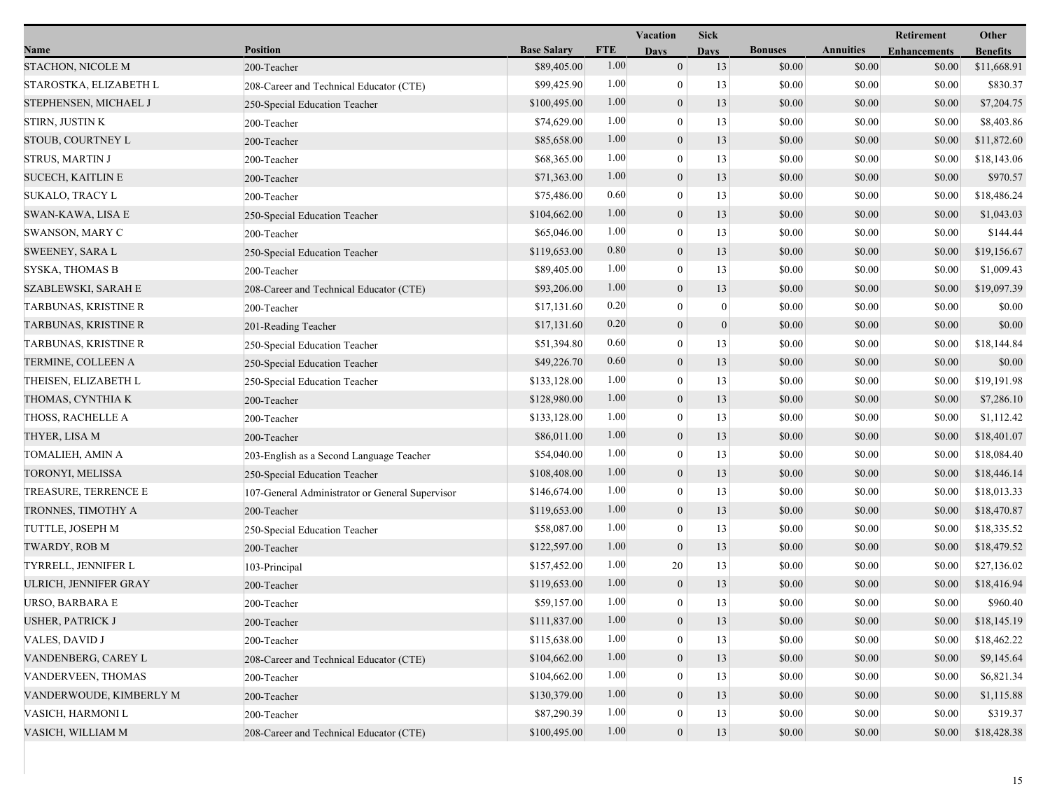|                          |                                                 |                    | Vacation   |                  | <b>Sick</b>      |                |                  | Retirement          | Other           |
|--------------------------|-------------------------------------------------|--------------------|------------|------------------|------------------|----------------|------------------|---------------------|-----------------|
| Name                     | <b>Position</b>                                 | <b>Base Salary</b> | <b>FTE</b> | <b>Days</b>      | <b>Days</b>      | <b>Bonuses</b> | <b>Annuities</b> | <b>Enhancements</b> | <b>Benefits</b> |
| STACHON, NICOLE M        | 200-Teacher                                     | \$89,405.00        | 1.00       | $\mathbf{0}$     | 13               | \$0.00         | \$0.00           | \$0.00              | \$11,668.91     |
| STAROSTKA, ELIZABETH L   | 208-Career and Technical Educator (CTE)         | \$99,425.90        | 1.00       | $\boldsymbol{0}$ | 13               | \$0.00         | \$0.00           | \$0.00              | \$830.37        |
| STEPHENSEN, MICHAEL J    | 250-Special Education Teacher                   | \$100,495.00       | 1.00       | $\boldsymbol{0}$ | 13               | \$0.00         | \$0.00           | \$0.00              | \$7,204.75      |
| STIRN, JUSTIN K          | 200-Teacher                                     | \$74,629.00        | 1.00       | $\mathbf{0}$     | 13               | \$0.00         | \$0.00           | \$0.00              | \$8,403.86      |
| STOUB, COURTNEY L        | 200-Teacher                                     | \$85,658.00        | 1.00       | $\boldsymbol{0}$ | 13               | \$0.00         | \$0.00           | \$0.00              | \$11,872.60     |
| <b>STRUS, MARTIN J</b>   | 200-Teacher                                     | \$68,365.00        | 1.00       | $\boldsymbol{0}$ | 13               | \$0.00         | \$0.00           | \$0.00              | \$18,143.06     |
| <b>SUCECH, KAITLIN E</b> | 200-Teacher                                     | \$71,363.00        | 1.00       | $\boldsymbol{0}$ | 13               | \$0.00         | \$0.00           | \$0.00              | \$970.57        |
| <b>SUKALO, TRACY L</b>   | 200-Teacher                                     | \$75,486.00        | 0.60       | $\boldsymbol{0}$ | 13               | \$0.00         | \$0.00           | \$0.00              | \$18,486.24     |
| SWAN-KAWA, LISA E        | 250-Special Education Teacher                   | \$104,662.00       | 1.00       | $\boldsymbol{0}$ | 13               | \$0.00         | \$0.00           | \$0.00              | \$1,043.03      |
| SWANSON, MARY C          | 200-Teacher                                     | \$65,046.00        | 1.00       | $\mathbf{0}$     | 13               | \$0.00         | \$0.00           | \$0.00              | \$144.44        |
| SWEENEY, SARA L          | 250-Special Education Teacher                   | \$119,653.00       | 0.80       | $\boldsymbol{0}$ | 13               | \$0.00         | \$0.00           | \$0.00              | \$19,156.67     |
| <b>SYSKA, THOMAS B</b>   | 200-Teacher                                     | \$89,405.00        | 1.00       | $\boldsymbol{0}$ | 13               | \$0.00         | \$0.00           | \$0.00              | \$1,009.43      |
| SZABLEWSKI, SARAH E      | 208-Career and Technical Educator (CTE)         | \$93,206.00        | 1.00       | $\mathbf{0}$     | 13               | \$0.00         | \$0.00           | \$0.00              | \$19,097.39     |
| TARBUNAS, KRISTINE R     | 200-Teacher                                     | \$17,131.60        | 0.20       | $\boldsymbol{0}$ | $\boldsymbol{0}$ | \$0.00         | \$0.00           | \$0.00              | \$0.00          |
| TARBUNAS, KRISTINE R     | 201-Reading Teacher                             | \$17,131.60        | 0.20       | $\boldsymbol{0}$ | $\mathbf{0}$     | \$0.00         | \$0.00           | \$0.00              | \$0.00          |
| TARBUNAS, KRISTINE R     | 250-Special Education Teacher                   | \$51,394.80        | 0.60       | $\mathbf{0}$     | 13               | \$0.00         | \$0.00           | \$0.00              | \$18,144.84     |
| TERMINE, COLLEEN A       | 250-Special Education Teacher                   | \$49,226.70        | 0.60       | $\boldsymbol{0}$ | 13               | \$0.00         | \$0.00           | \$0.00              | \$0.00          |
| THEISEN, ELIZABETH L     | 250-Special Education Teacher                   | \$133,128.00       | 1.00       | $\boldsymbol{0}$ | 13               | \$0.00         | \$0.00           | \$0.00              | \$19,191.98     |
| THOMAS, CYNTHIA K        | 200-Teacher                                     | \$128,980.00       | 1.00       | $\boldsymbol{0}$ | 13               | \$0.00         | \$0.00           | \$0.00              | \$7,286.10      |
| THOSS, RACHELLE A        | 200-Teacher                                     | \$133,128.00       | 1.00       | $\mathbf{0}$     | 13               | \$0.00         | \$0.00           | \$0.00              | \$1,112.42      |
| THYER, LISA M            | 200-Teacher                                     | \$86,011.00        | 1.00       | $\boldsymbol{0}$ | 13               | \$0.00         | \$0.00           | \$0.00              | \$18,401.07     |
| TOMALIEH, AMIN A         | 203-English as a Second Language Teacher        | \$54,040.00        | 1.00       | $\mathbf{0}$     | 13               | \$0.00         | \$0.00           | \$0.00              | \$18,084.40     |
| TORONYI, MELISSA         | 250-Special Education Teacher                   | \$108,408.00       | 1.00       | $\boldsymbol{0}$ | 13               | \$0.00         | \$0.00           | \$0.00              | \$18,446.14     |
| TREASURE, TERRENCE E     | 107-General Administrator or General Supervisor | \$146,674.00       | 1.00       | $\mathbf{0}$     | 13               | \$0.00         | \$0.00           | \$0.00              | \$18,013.33     |
| TRONNES, TIMOTHY A       | 200-Teacher                                     | \$119,653.00       | 1.00       | $\boldsymbol{0}$ | 13               | \$0.00         | \$0.00           | \$0.00              | \$18,470.87     |
| TUTTLE, JOSEPH M         | 250-Special Education Teacher                   | \$58,087.00        | 1.00       | $\mathbf{0}$     | 13               | \$0.00         | \$0.00           | \$0.00              | \$18,335.52     |
| TWARDY, ROB M            | 200-Teacher                                     | \$122,597.00       | 1.00       | $\boldsymbol{0}$ | 13               | \$0.00         | \$0.00           | \$0.00              | \$18,479.52     |
| TYRRELL, JENNIFER L      | 103-Principal                                   | \$157,452.00       | 1.00       | 20               | 13               | \$0.00         | \$0.00           | \$0.00              | \$27,136.02     |
| ULRICH, JENNIFER GRAY    | 200-Teacher                                     | \$119,653.00       | 1.00       | $\mathbf{0}$     | 13               | \$0.00         | \$0.00           | \$0.00              | \$18,416.94     |
| URSO, BARBARA E          | 200-Teacher                                     | \$59,157.00        | 1.00       | $\mathbf{0}$     | 13               | \$0.00         | \$0.00           | \$0.00              | \$960.40        |
| <b>USHER, PATRICK J</b>  | 200-Teacher                                     | \$111,837.00       | 1.00       | $\boldsymbol{0}$ | 13               | \$0.00         | \$0.00           | \$0.00              | \$18,145.19     |
| <b>VALES, DAVID J</b>    | 200-Teacher                                     | \$115,638.00       | 1.00       | $\mathbf{0}$     | 13               | \$0.00         | \$0.00           | \$0.00              | \$18,462.22     |
| VANDENBERG, CAREY L      | 208-Career and Technical Educator (CTE)         | \$104,662.00       | 1.00       | $\mathbf{0}$     | 13               | \$0.00         | \$0.00           | \$0.00              | \$9,145.64      |
| VANDERVEEN, THOMAS       | 200-Teacher                                     | \$104,662.00       | 1.00       | $\mathbf{0}$     | 13               | \$0.00         | \$0.00           | \$0.00              | \$6,821.34      |
| VANDERWOUDE, KIMBERLY M  | 200-Teacher                                     | \$130,379.00       | 1.00       | $\overline{0}$   | 13               | \$0.00         | \$0.00           | \$0.00              | \$1,115.88      |
| VASICH, HARMONI L        | 200-Teacher                                     | \$87,290.39        | 1.00       | $\boldsymbol{0}$ | 13               | \$0.00         | \$0.00           | \$0.00              | \$319.37        |
| VASICH, WILLIAM M        | 208-Career and Technical Educator (CTE)         | \$100,495.00       | 1.00       | $\mathbf{0}$     | 13               | \$0.00         | \$0.00           | \$0.00              | \$18,428.38     |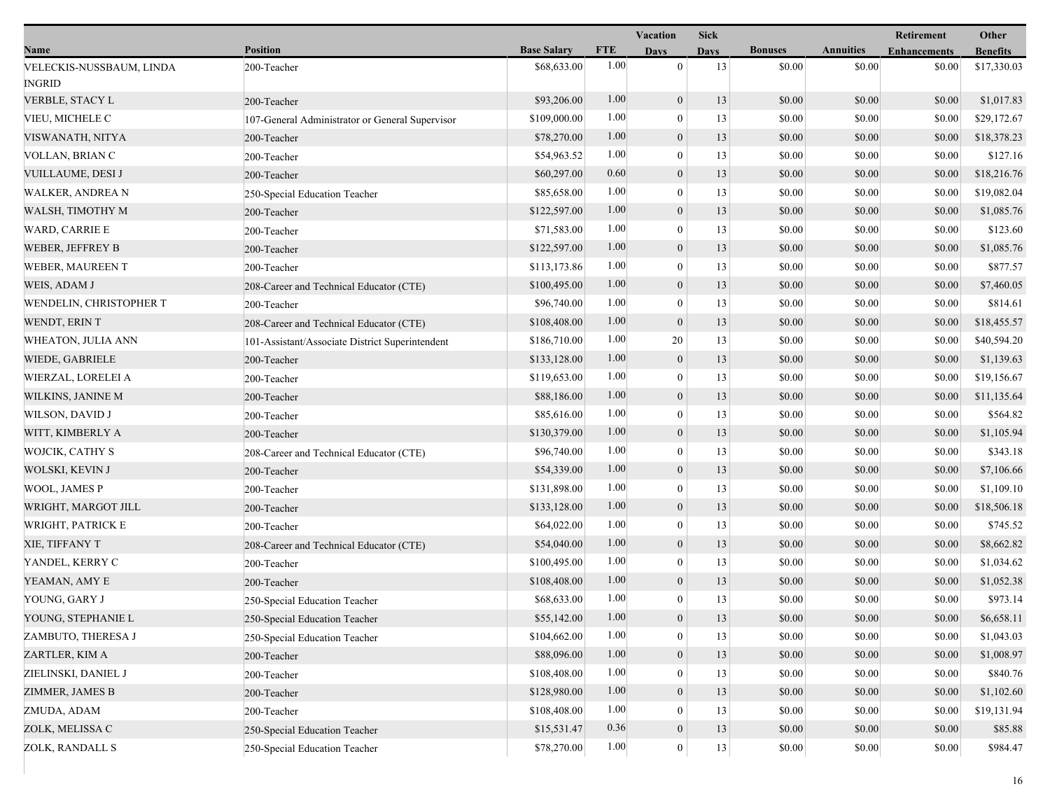|                                    |                                                 | Vacation           | <b>Sick</b> |                  | Retirement  |                | Other            |                     |                 |
|------------------------------------|-------------------------------------------------|--------------------|-------------|------------------|-------------|----------------|------------------|---------------------|-----------------|
| Name                               | <b>Position</b>                                 | <b>Base Salary</b> | <b>FTE</b>  | <b>Days</b>      | <b>Days</b> | <b>Bonuses</b> | <b>Annuities</b> | <b>Enhancements</b> | <b>Benefits</b> |
| VELECKIS-NUSSBAUM, LINDA<br>INGRID | 200-Teacher                                     | \$68,633.00        | 1.00        | $\theta$         | 13          | \$0.00         | \$0.00           | \$0.00              | \$17,330.03     |
| VERBLE, STACY L                    | 200-Teacher                                     | \$93,206.00        | 1.00        | $\boldsymbol{0}$ | 13          | \$0.00         | \$0.00           | \$0.00              | \$1,017.83      |
| VIEU, MICHELE C                    | 107-General Administrator or General Supervisor | \$109,000.00       | 1.00        | $\overline{0}$   | 13          | \$0.00         | \$0.00           | \$0.00              | \$29,172.67     |
| VISWANATH, NITYA                   | 200-Teacher                                     | \$78,270.00        | 1.00        | $\mathbf{0}$     | 13          | \$0.00         | \$0.00           | \$0.00              | \$18,378.23     |
| VOLLAN, BRIAN C                    | 200-Teacher                                     | \$54,963.52        | 1.00        | $\overline{0}$   | 13          | \$0.00         | \$0.00           | \$0.00              | \$127.16        |
| VUILLAUME, DESI J                  | 200-Teacher                                     | \$60,297.00        | 0.60        | $\mathbf{0}$     | 13          | \$0.00         | \$0.00           | \$0.00              | \$18,216.76     |
| WALKER, ANDREA N                   | 250-Special Education Teacher                   | \$85,658.00        | 1.00        | $\theta$         | 13          | \$0.00         | \$0.00           | \$0.00              | \$19,082.04     |
| WALSH, TIMOTHY M                   | 200-Teacher                                     | \$122,597.00       | 1.00        | $\mathbf{0}$     | 13          | \$0.00         | \$0.00           | \$0.00              | \$1,085.76      |
| <b>WARD, CARRIE E</b>              | 200-Teacher                                     | \$71,583.00        | 1.00        | $\overline{0}$   | 13          | \$0.00         | \$0.00           | \$0.00              | \$123.60        |
| WEBER, JEFFREY B                   | 200-Teacher                                     | \$122,597.00       | 1.00        | $\boldsymbol{0}$ | 13          | \$0.00         | \$0.00           | \$0.00              | \$1,085.76      |
| <b>WEBER, MAUREEN T</b>            | 200-Teacher                                     | \$113,173.86       | 1.00        | $\overline{0}$   | 13          | \$0.00         | \$0.00           | \$0.00              | \$877.57        |
| WEIS, ADAM J                       | 208-Career and Technical Educator (CTE)         | \$100,495.00       | 1.00        | $\mathbf{0}$     | 13          | \$0.00         | \$0.00           | \$0.00              | \$7,460.05      |
| WENDELIN, CHRISTOPHER T            | 200-Teacher                                     | \$96,740.00        | 1.00        | $\theta$         | 13          | \$0.00         | \$0.00           | \$0.00              | \$814.61        |
| WENDT, ERIN T                      | 208-Career and Technical Educator (CTE)         | \$108,408.00       | 1.00        | $\mathbf{0}$     | 13          | \$0.00         | \$0.00           | \$0.00              | \$18,455.57     |
| WHEATON, JULIA ANN                 | 101-Assistant/Associate District Superintendent | \$186,710.00       | 1.00        | 20               | 13          | \$0.00         | \$0.00           | \$0.00              | \$40,594.20     |
| WIEDE, GABRIELE                    | 200-Teacher                                     | \$133,128.00       | 1.00        | $\boldsymbol{0}$ | 13          | \$0.00         | \$0.00           | \$0.00              | \$1,139.63      |
| WIERZAL, LORELEI A                 | 200-Teacher                                     | \$119,653.00       | 1.00        | $\overline{0}$   | 13          | \$0.00         | \$0.00           | \$0.00              | \$19,156.67     |
| WILKINS, JANINE M                  | 200-Teacher                                     | \$88,186.00        | 1.00        | $\mathbf{0}$     | 13          | \$0.00         | \$0.00           | \$0.00              | \$11,135.64     |
| WILSON, DAVID J                    | 200-Teacher                                     | \$85,616.00        | 1.00        | $\overline{0}$   | 13          | \$0.00         | \$0.00           | \$0.00              | \$564.82        |
| WITT, KIMBERLY A                   | 200-Teacher                                     | \$130,379.00       | 1.00        | $\mathbf{0}$     | 13          | \$0.00         | \$0.00           | \$0.00              | \$1,105.94      |
| <b>WOJCIK, CATHY S</b>             | 208-Career and Technical Educator (CTE)         | \$96,740.00        | 1.00        | $\overline{0}$   | 13          | \$0.00         | \$0.00           | \$0.00              | \$343.18        |
| WOLSKI, KEVIN J                    | 200-Teacher                                     | \$54,339.00        | 1.00        | $\boldsymbol{0}$ | 13          | \$0.00         | \$0.00           | \$0.00              | \$7,106.66      |
| <b>WOOL, JAMES P</b>               | 200-Teacher                                     | \$131,898.00       | 1.00        | $\overline{0}$   | 13          | \$0.00         | \$0.00           | \$0.00              | \$1,109.10      |
| WRIGHT, MARGOT JILL                | 200-Teacher                                     | \$133,128.00       | 1.00        | $\mathbf{0}$     | 13          | \$0.00         | \$0.00           | \$0.00              | \$18,506.18     |
| WRIGHT, PATRICK E                  | 200-Teacher                                     | \$64,022.00        | 1.00        | $\overline{0}$   | 13          | \$0.00         | \$0.00           | \$0.00              | \$745.52        |
| XIE, TIFFANY T                     | 208-Career and Technical Educator (CTE)         | \$54,040.00        | 1.00        | $\mathbf{0}$     | 13          | \$0.00         | \$0.00           | \$0.00              | \$8,662.82      |
| YANDEL, KERRY C                    | 200-Teacher                                     | \$100,495.00       | 1.00        | $\overline{0}$   | 13          | \$0.00         | \$0.00           | \$0.00              | \$1,034.62      |
| YEAMAN, AMY E                      | 200-Teacher                                     | \$108,408.00       | 1.00        | $\mathbf{0}$     | 13          | \$0.00         | \$0.00           | \$0.00              | \$1,052.38      |
| YOUNG, GARY J                      | 250-Special Education Teacher                   | \$68,633.00        | 1.00        | $\theta$         | 13          | \$0.00         | \$0.00           | \$0.00              | \$973.14        |
| YOUNG, STEPHANIE L                 | 250-Special Education Teacher                   | \$55,142.00        | 1.00        | $\mathbf{0}$     | 13          | \$0.00         | \$0.00           | \$0.00              | \$6,658.11      |
| ZAMBUTO, THERESA J                 | 250-Special Education Teacher                   | \$104,662.00       | 1.00        | $\mathbf{0}$     | 13          | \$0.00         | \$0.00           | \$0.00              | \$1,043.03      |
| ZARTLER, KIM A                     | 200-Teacher                                     | \$88,096.00        | 1.00        | $\boldsymbol{0}$ | 13          | \$0.00         | \$0.00           | \$0.00              | \$1,008.97      |
| ZIELINSKI, DANIEL J                | 200-Teacher                                     | \$108,408.00       | 1.00        | 0                | 13          | \$0.00         | \$0.00           | \$0.00              | \$840.76        |
| ZIMMER, JAMES B                    | 200-Teacher                                     | \$128,980.00       | 1.00        | $\mathbf{0}$     | 13          | \$0.00         | \$0.00           | \$0.00              | \$1,102.60      |
| ZMUDA, ADAM                        | 200-Teacher                                     | \$108,408.00       | 1.00        | $\Omega$         | 13          | \$0.00         | \$0.00           | \$0.00              | \$19,131.94     |
| ZOLK, MELISSA C                    | 250-Special Education Teacher                   | \$15,531.47        | 0.36        | $\boldsymbol{0}$ | 13          | \$0.00         | \$0.00           | \$0.00              | \$85.88         |
| ZOLK, RANDALL S                    | 250-Special Education Teacher                   | \$78,270.00        | 1.00        | $\boldsymbol{0}$ | $13\,$      | \$0.00         | \$0.00           | \$0.00              | \$984.47        |